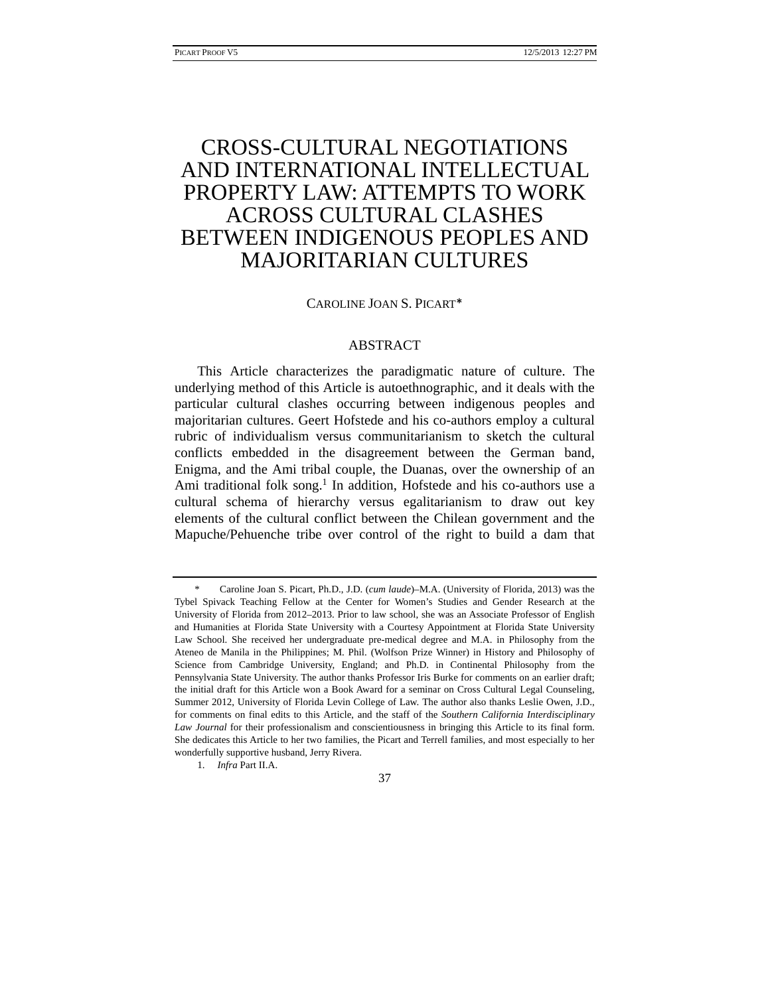# CROSS-CULTURAL NEGOTIATIONS AND INTERNATIONAL INTELLECTUAL PROPERTY LAW: ATTEMPTS TO WORK ACROSS CULTURAL CLASHES BETWEEN INDIGENOUS PEOPLES AND MAJORITARIAN CULTURES

# CAROLINE JOAN S. PICART\*

# ABSTRACT

This Article characterizes the paradigmatic nature of culture. The underlying method of this Article is autoethnographic, and it deals with the particular cultural clashes occurring between indigenous peoples and majoritarian cultures. Geert Hofstede and his co-authors employ a cultural rubric of individualism versus communitarianism to sketch the cultural conflicts embedded in the disagreement between the German band, Enigma, and the Ami tribal couple, the Duanas, over the ownership of an Ami traditional folk song.<sup>1</sup> In addition, Hofstede and his co-authors use a cultural schema of hierarchy versus egalitarianism to draw out key elements of the cultural conflict between the Chilean government and the Mapuche/Pehuenche tribe over control of the right to build a dam that

37

 <sup>\*</sup> Caroline Joan S. Picart, Ph.D., J.D. (*cum laude*)–M.A. (University of Florida, 2013) was the Tybel Spivack Teaching Fellow at the Center for Women's Studies and Gender Research at the University of Florida from 2012–2013. Prior to law school, she was an Associate Professor of English and Humanities at Florida State University with a Courtesy Appointment at Florida State University Law School. She received her undergraduate pre-medical degree and M.A. in Philosophy from the Ateneo de Manila in the Philippines; M. Phil. (Wolfson Prize Winner) in History and Philosophy of Science from Cambridge University, England; and Ph.D. in Continental Philosophy from the Pennsylvania State University. The author thanks Professor Iris Burke for comments on an earlier draft; the initial draft for this Article won a Book Award for a seminar on Cross Cultural Legal Counseling, Summer 2012, University of Florida Levin College of Law. The author also thanks Leslie Owen, J.D., for comments on final edits to this Article, and the staff of the *Southern California Interdisciplinary Law Journal* for their professionalism and conscientiousness in bringing this Article to its final form. She dedicates this Article to her two families, the Picart and Terrell families, and most especially to her wonderfully supportive husband, Jerry Rivera.

 <sup>1.</sup> *Infra* Part II.A.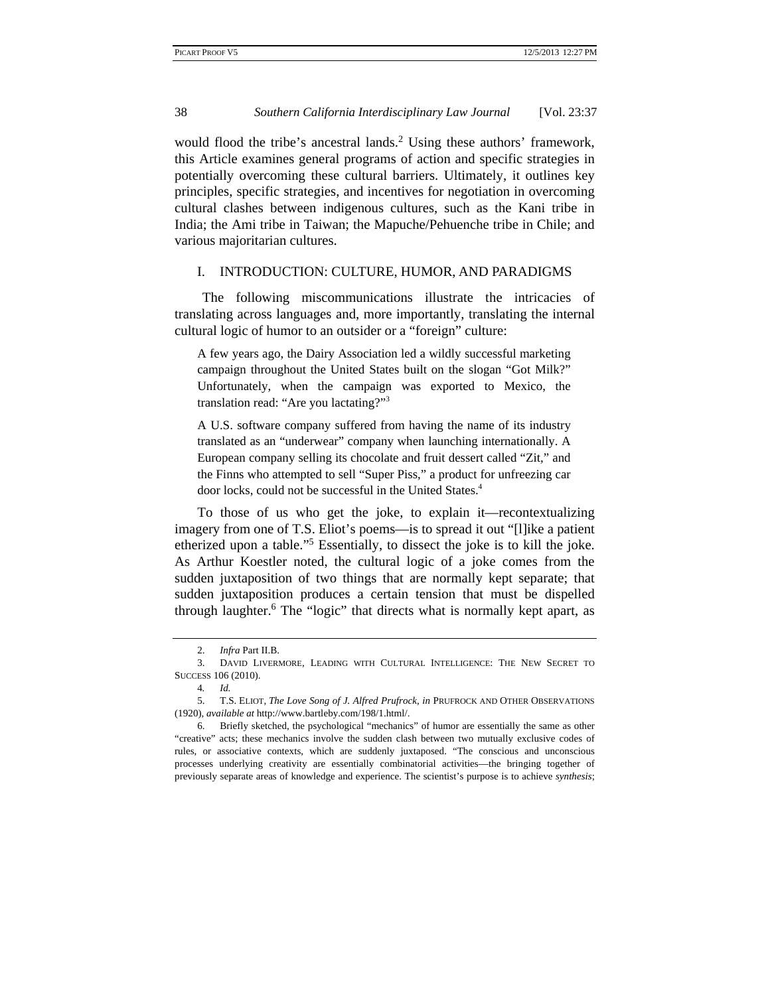would flood the tribe's ancestral lands.<sup>2</sup> Using these authors' framework, this Article examines general programs of action and specific strategies in potentially overcoming these cultural barriers. Ultimately, it outlines key principles, specific strategies, and incentives for negotiation in overcoming cultural clashes between indigenous cultures, such as the Kani tribe in India; the Ami tribe in Taiwan; the Mapuche/Pehuenche tribe in Chile; and various majoritarian cultures.

#### I. INTRODUCTION: CULTURE, HUMOR, AND PARADIGMS

The following miscommunications illustrate the intricacies of translating across languages and, more importantly, translating the internal cultural logic of humor to an outsider or a "foreign" culture:

A few years ago, the Dairy Association led a wildly successful marketing campaign throughout the United States built on the slogan "Got Milk?" Unfortunately, when the campaign was exported to Mexico, the translation read: "Are you lactating?"3

A U.S. software company suffered from having the name of its industry translated as an "underwear" company when launching internationally. A European company selling its chocolate and fruit dessert called "Zit," and the Finns who attempted to sell "Super Piss," a product for unfreezing car door locks, could not be successful in the United States.4

To those of us who get the joke, to explain it—recontextualizing imagery from one of T.S. Eliot's poems—is to spread it out "[l]ike a patient etherized upon a table."<sup>5</sup> Essentially, to dissect the joke is to kill the joke. As Arthur Koestler noted, the cultural logic of a joke comes from the sudden juxtaposition of two things that are normally kept separate; that sudden juxtaposition produces a certain tension that must be dispelled through laughter.<sup>6</sup> The "logic" that directs what is normally kept apart, as

 <sup>2.</sup> *Infra* Part II.B.

 <sup>3.</sup> DAVID LIVERMORE, LEADING WITH CULTURAL INTELLIGENCE: THE NEW SECRET TO SUCCESS 106 (2010).

<sup>4</sup>*. Id.*

 <sup>5.</sup> T.S. ELIOT, *The Love Song of J. Alfred Prufrock*, *in* PRUFROCK AND OTHER OBSERVATIONS (1920), *available at* http://www.bartleby.com/198/1.html/.

 <sup>6.</sup> Briefly sketched, the psychological "mechanics" of humor are essentially the same as other "creative" acts; these mechanics involve the sudden clash between two mutually exclusive codes of rules, or associative contexts, which are suddenly juxtaposed. "The conscious and unconscious processes underlying creativity are essentially combinatorial activities—the bringing together of previously separate areas of knowledge and experience. The scientist's purpose is to achieve *synthesis*;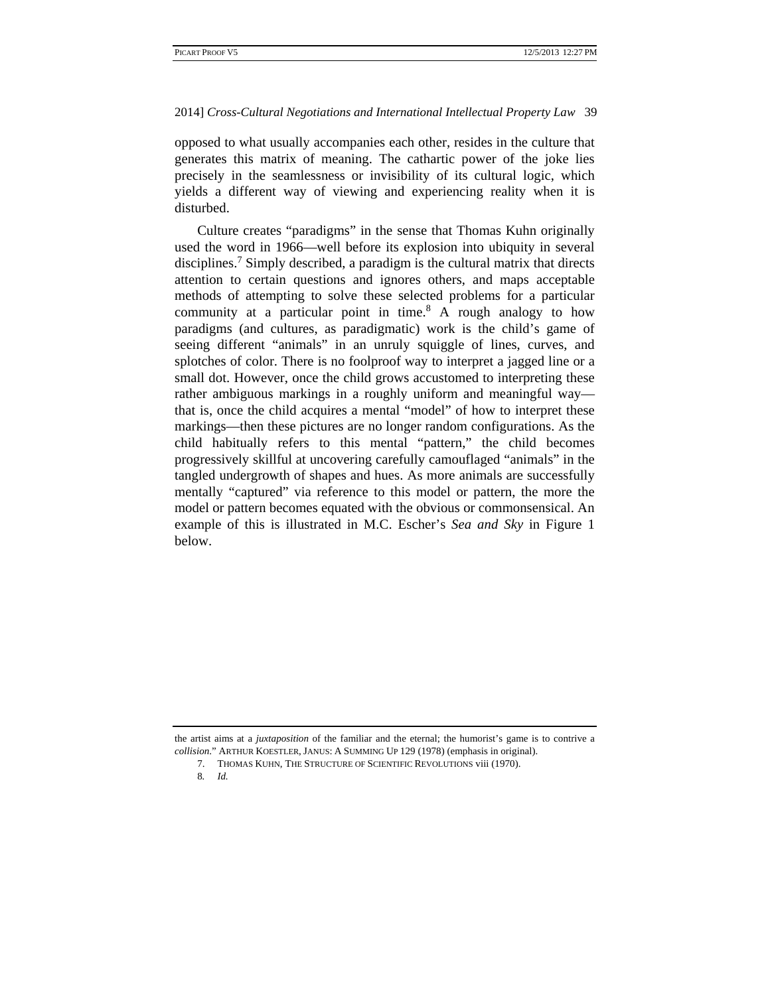opposed to what usually accompanies each other, resides in the culture that generates this matrix of meaning. The cathartic power of the joke lies precisely in the seamlessness or invisibility of its cultural logic, which yields a different way of viewing and experiencing reality when it is disturbed.

Culture creates "paradigms" in the sense that Thomas Kuhn originally used the word in 1966—well before its explosion into ubiquity in several disciplines.<sup>7</sup> Simply described, a paradigm is the cultural matrix that directs attention to certain questions and ignores others, and maps acceptable methods of attempting to solve these selected problems for a particular community at a particular point in time.<sup>8</sup> A rough analogy to how paradigms (and cultures, as paradigmatic) work is the child's game of seeing different "animals" in an unruly squiggle of lines, curves, and splotches of color. There is no foolproof way to interpret a jagged line or a small dot. However, once the child grows accustomed to interpreting these rather ambiguous markings in a roughly uniform and meaningful way that is, once the child acquires a mental "model" of how to interpret these markings—then these pictures are no longer random configurations. As the child habitually refers to this mental "pattern," the child becomes progressively skillful at uncovering carefully camouflaged "animals" in the tangled undergrowth of shapes and hues. As more animals are successfully mentally "captured" via reference to this model or pattern, the more the model or pattern becomes equated with the obvious or commonsensical. An example of this is illustrated in M.C. Escher's *Sea and Sky* in Figure 1 below.

the artist aims at a *juxtaposition* of the familiar and the eternal; the humorist's game is to contrive a *collision*." ARTHUR KOESTLER, JANUS: A SUMMING UP 129 (1978) (emphasis in original).

 <sup>7.</sup> THOMAS KUHN, THE STRUCTURE OF SCIENTIFIC REVOLUTIONS viii (1970).

<sup>8</sup>*. Id.*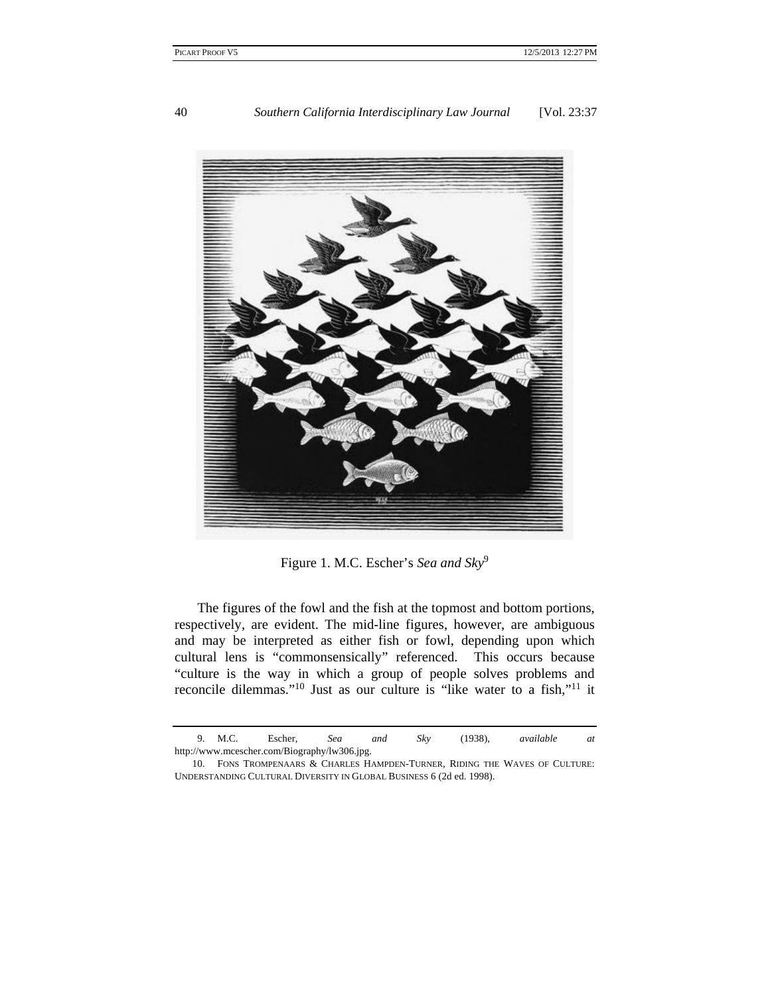

Figure 1. M.C. Escher's *Sea and Sky*<sup>9</sup>

The figures of the fowl and the fish at the topmost and bottom portions, respectively, are evident. The mid-line figures, however, are ambiguous and may be interpreted as either fish or fowl, depending upon which cultural lens is "commonsensically" referenced. This occurs because "culture is the way in which a group of people solves problems and reconcile dilemmas."10 Just as our culture is "like water to a fish,"11 it

 <sup>9.</sup> M.C. Escher, *Sea and Sky* (1938), *available at* http://www.mcescher.com/Biography/lw306.jpg.

 <sup>10.</sup> FONS TROMPENAARS & CHARLES HAMPDEN-TURNER, RIDING THE WAVES OF CULTURE: UNDERSTANDING CULTURAL DIVERSITY IN GLOBAL BUSINESS 6 (2d ed. 1998).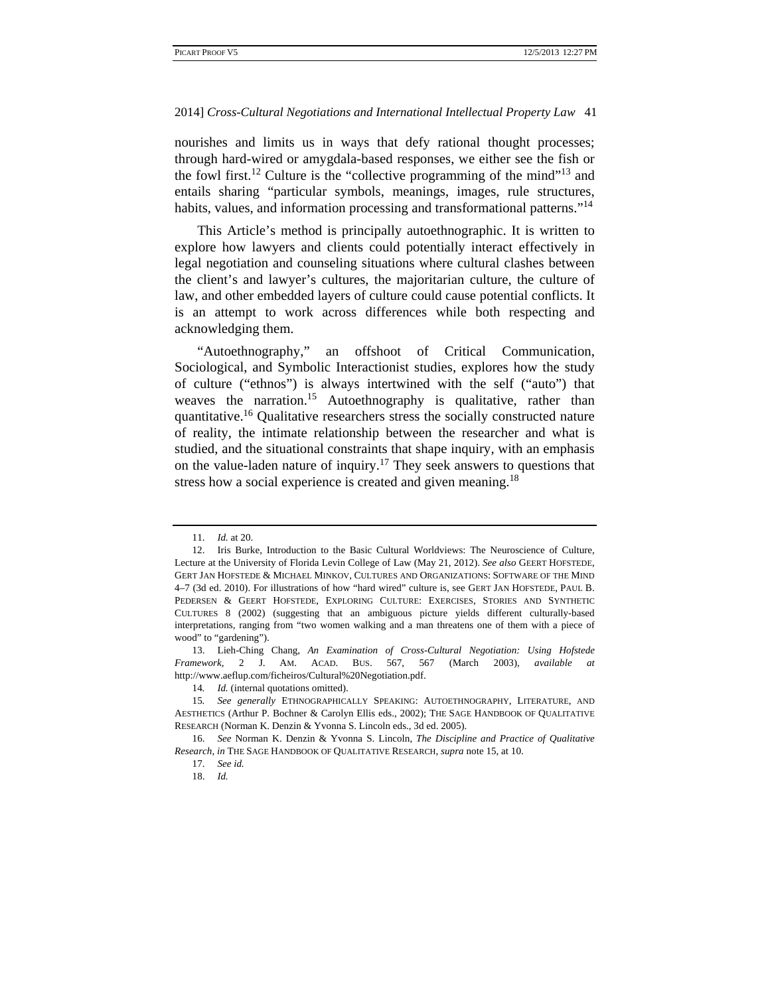nourishes and limits us in ways that defy rational thought processes; through hard-wired or amygdala-based responses, we either see the fish or the fowl first.<sup>12</sup> Culture is the "collective programming of the mind"<sup>13</sup> and entails sharing "particular symbols, meanings, images, rule structures, habits, values, and information processing and transformational patterns."<sup>14</sup>

This Article's method is principally autoethnographic. It is written to explore how lawyers and clients could potentially interact effectively in legal negotiation and counseling situations where cultural clashes between the client's and lawyer's cultures, the majoritarian culture, the culture of law, and other embedded layers of culture could cause potential conflicts. It is an attempt to work across differences while both respecting and acknowledging them.

"Autoethnography," an offshoot of Critical Communication, Sociological, and Symbolic Interactionist studies, explores how the study of culture ("ethnos") is always intertwined with the self ("auto") that weaves the narration.<sup>15</sup> Autoethnography is qualitative, rather than quantitative.16 Qualitative researchers stress the socially constructed nature of reality, the intimate relationship between the researcher and what is studied, and the situational constraints that shape inquiry, with an emphasis on the value-laden nature of inquiry.17 They seek answers to questions that stress how a social experience is created and given meaning.<sup>18</sup>

 <sup>11.</sup> *Id.* at 20.

 <sup>12.</sup> Iris Burke, Introduction to the Basic Cultural Worldviews: The Neuroscience of Culture, Lecture at the University of Florida Levin College of Law (May 21, 2012). *See also* GEERT HOFSTEDE, GERT JAN HOFSTEDE & MICHAEL MINKOV, CULTURES AND ORGANIZATIONS: SOFTWARE OF THE MIND 4–7 (3d ed. 2010). For illustrations of how "hard wired" culture is, see GERT JAN HOFSTEDE, PAUL B. PEDERSEN & GEERT HOFSTEDE, EXPLORING CULTURE: EXERCISES, STORIES AND SYNTHETIC CULTURES 8 (2002) (suggesting that an ambiguous picture yields different culturally-based interpretations, ranging from "two women walking and a man threatens one of them with a piece of wood" to "gardening").

 <sup>13.</sup> Lieh-Ching Chang, *An Examination of Cross-Cultural Negotiation: Using Hofstede Framework*, 2 J. AM. ACAD. BUS. 567, 567 (March 2003), *available at* http://www.aeflup.com/ficheiros/Cultural%20Negotiation.pdf.

<sup>14.</sup> *Id.* (internal quotations omitted).

<sup>15</sup>*. See generally* ETHNOGRAPHICALLY SPEAKING: AUTOETHNOGRAPHY, LITERATURE, AND AESTHETICS (Arthur P. Bochner & Carolyn Ellis eds., 2002); THE SAGE HANDBOOK OF QUALITATIVE RESEARCH (Norman K. Denzin & Yvonna S. Lincoln eds., 3d ed. 2005).

 <sup>16.</sup> *See* Norman K. Denzin & Yvonna S. Lincoln, *The Discipline and Practice of Qualitative Research*, *in* THE SAGE HANDBOOK OF QUALITATIVE RESEARCH, *supra* note 15, at 10.

 <sup>17.</sup> *See id.*

 <sup>18.</sup> *Id.*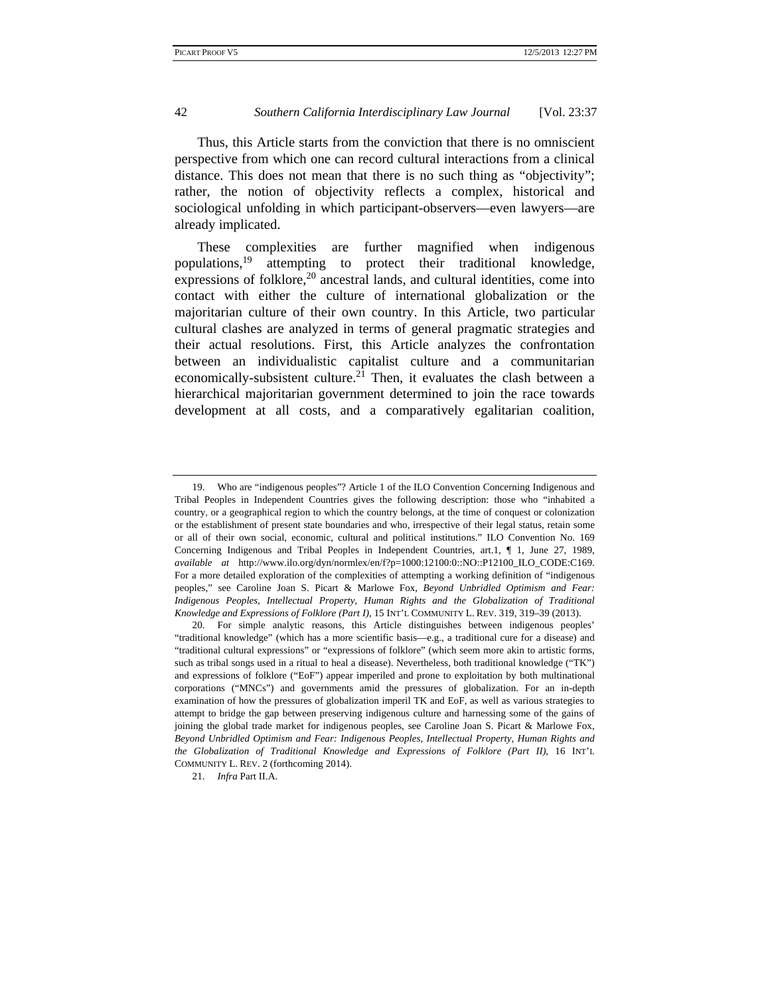Thus, this Article starts from the conviction that there is no omniscient perspective from which one can record cultural interactions from a clinical distance. This does not mean that there is no such thing as "objectivity"; rather, the notion of objectivity reflects a complex, historical and sociological unfolding in which participant-observers—even lawyers—are already implicated.

These complexities are further magnified when indigenous populations,19 attempting to protect their traditional knowledge, expressions of folklore, $20$  ancestral lands, and cultural identities, come into contact with either the culture of international globalization or the majoritarian culture of their own country. In this Article, two particular cultural clashes are analyzed in terms of general pragmatic strategies and their actual resolutions. First, this Article analyzes the confrontation between an individualistic capitalist culture and a communitarian economically-subsistent culture.<sup>21</sup> Then, it evaluates the clash between a hierarchical majoritarian government determined to join the race towards development at all costs, and a comparatively egalitarian coalition,

 <sup>19.</sup> Who are "indigenous peoples"? Article 1 of the ILO Convention Concerning Indigenous and Tribal Peoples in Independent Countries gives the following description: those who "inhabited a country, or a geographical region to which the country belongs, at the time of conquest or colonization or the establishment of present state boundaries and who, irrespective of their legal status, retain some or all of their own social, economic, cultural and political institutions." ILO Convention No. 169 Concerning Indigenous and Tribal Peoples in Independent Countries, art.1, ¶ 1, June 27, 1989, *available at* http://www.ilo.org/dyn/normlex/en/f?p=1000:12100:0::NO::P12100\_ILO\_CODE:C169. For a more detailed exploration of the complexities of attempting a working definition of "indigenous peoples," see Caroline Joan S. Picart & Marlowe Fox, *Beyond Unbridled Optimism and Fear: Indigenous Peoples, Intellectual Property, Human Rights and the Globalization of Traditional Knowledge and Expressions of Folklore (Part I),* 15 INT'L COMMUNITY L. REV. 319, 319–39 (2013).

 <sup>20.</sup> For simple analytic reasons, this Article distinguishes between indigenous peoples' "traditional knowledge" (which has a more scientific basis—e.g., a traditional cure for a disease) and "traditional cultural expressions" or "expressions of folklore" (which seem more akin to artistic forms, such as tribal songs used in a ritual to heal a disease). Nevertheless, both traditional knowledge ("TK") and expressions of folklore ("EoF") appear imperiled and prone to exploitation by both multinational corporations ("MNCs") and governments amid the pressures of globalization. For an in-depth examination of how the pressures of globalization imperil TK and EoF, as well as various strategies to attempt to bridge the gap between preserving indigenous culture and harnessing some of the gains of joining the global trade market for indigenous peoples, see Caroline Joan S. Picart & Marlowe Fox, *Beyond Unbridled Optimism and Fear: Indigenous Peoples, Intellectual Property, Human Rights and the Globalization of Traditional Knowledge and Expressions of Folklore (Part II)*, 16 INT'L COMMUNITY L. REV. 2 (forthcoming 2014).

 <sup>21.</sup> *Infra* Part II.A.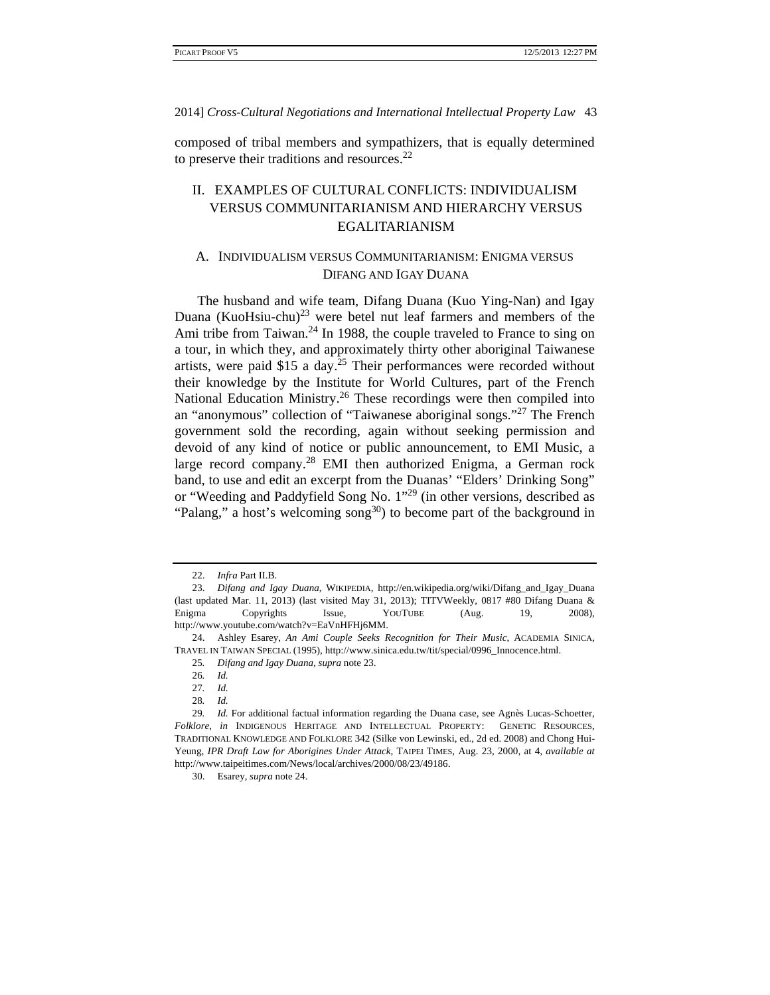composed of tribal members and sympathizers, that is equally determined to preserve their traditions and resources.<sup>22</sup>

# II. EXAMPLES OF CULTURAL CONFLICTS: INDIVIDUALISM VERSUS COMMUNITARIANISM AND HIERARCHY VERSUS EGALITARIANISM

# A. INDIVIDUALISM VERSUS COMMUNITARIANISM: ENIGMA VERSUS DIFANG AND IGAY DUANA

The husband and wife team, Difang Duana (Kuo Ying-Nan) and Igay Duana (KuoHsiu-chu) $^{23}$  were betel nut leaf farmers and members of the Ami tribe from Taiwan.<sup>24</sup> In 1988, the couple traveled to France to sing on a tour, in which they, and approximately thirty other aboriginal Taiwanese artists, were paid \$15 a day.25 Their performances were recorded without their knowledge by the Institute for World Cultures, part of the French National Education Ministry.<sup>26</sup> These recordings were then compiled into an "anonymous" collection of "Taiwanese aboriginal songs."27 The French government sold the recording, again without seeking permission and devoid of any kind of notice or public announcement, to EMI Music, a large record company.28 EMI then authorized Enigma, a German rock band, to use and edit an excerpt from the Duanas' "Elders' Drinking Song" or "Weeding and Paddyfield Song No. 1"29 (in other versions, described as "Palang," a host's welcoming song<sup>30</sup>) to become part of the background in

 <sup>22.</sup> *Infra* Part II.B.

 <sup>23.</sup> *Difang and Igay Duana*, WIKIPEDIA, http://en.wikipedia.org/wiki/Difang\_and\_Igay\_Duana (last updated Mar. 11, 2013) (last visited May 31, 2013); TITVWeekly, 0817 #80 Difang Duana & Enigma Copyrights Issue, YOUTUBE (Aug. 19, 2008), http://www.youtube.com/watch?v=EaVnHFHj6MM.

 <sup>24.</sup> Ashley Esarey, *An Ami Couple Seeks Recognition for Their Music*, ACADEMIA SINICA, TRAVEL IN TAIWAN SPECIAL (1995), http://www.sinica.edu.tw/tit/special/0996\_Innocence.html.

<sup>25</sup>*. Difang and Igay Duana*, *supra* note 23.

<sup>26</sup>*. Id.*

<sup>27</sup>*. Id.*

<sup>28</sup>*. Id.*

<sup>29</sup>*. Id.* For additional factual information regarding the Duana case, see Agnès Lucas-Schoetter, *Folklore*, *in* INDIGENOUS HERITAGE AND INTELLECTUAL PROPERTY: GENETIC RESOURCES, TRADITIONAL KNOWLEDGE AND FOLKLORE 342 (Silke von Lewinski, ed., 2d ed. 2008) and Chong Hui-Yeung, *IPR Draft Law for Aborigines Under Attack*, TAIPEI TIMES, Aug. 23, 2000, at 4, *available at* http://www.taipeitimes.com/News/local/archives/2000/08/23/49186.

 <sup>30.</sup> Esarey, *supra* note 24.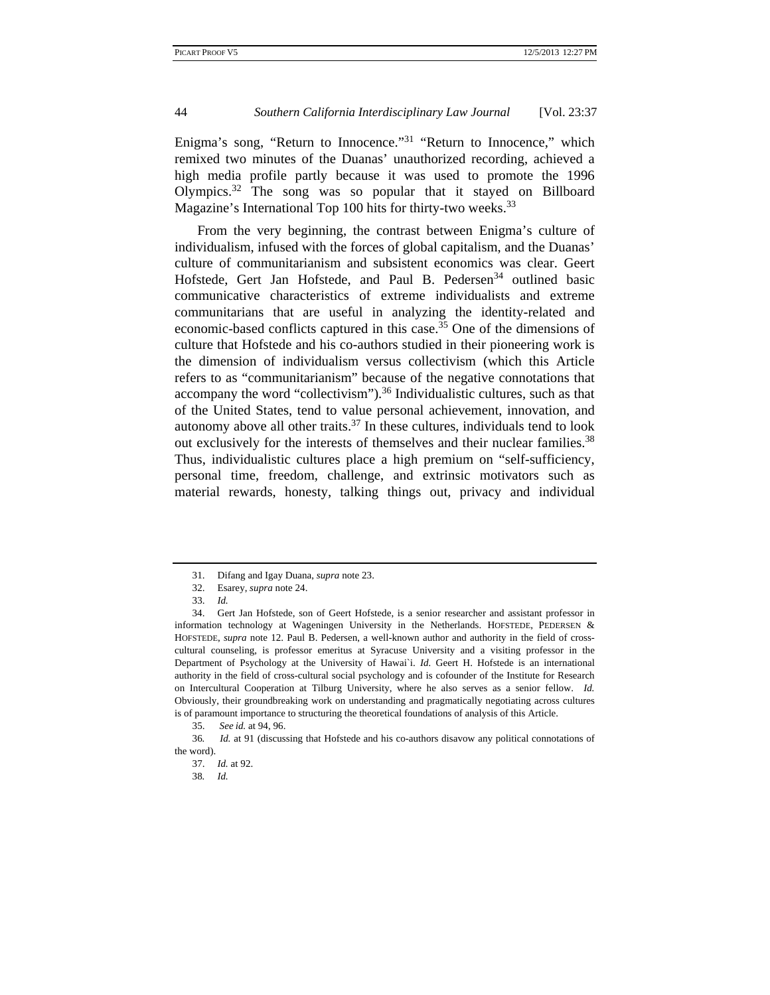Enigma's song, "Return to Innocence."<sup>31</sup> "Return to Innocence." which remixed two minutes of the Duanas' unauthorized recording, achieved a high media profile partly because it was used to promote the 1996 Olympics.32 The song was so popular that it stayed on Billboard Magazine's International Top 100 hits for thirty-two weeks.<sup>33</sup>

From the very beginning, the contrast between Enigma's culture of individualism, infused with the forces of global capitalism, and the Duanas' culture of communitarianism and subsistent economics was clear. Geert Hofstede, Gert Jan Hofstede, and Paul B. Pedersen<sup>34</sup> outlined basic communicative characteristics of extreme individualists and extreme communitarians that are useful in analyzing the identity-related and economic-based conflicts captured in this case.<sup>35</sup> One of the dimensions of culture that Hofstede and his co-authors studied in their pioneering work is the dimension of individualism versus collectivism (which this Article refers to as "communitarianism" because of the negative connotations that accompany the word "collectivism").<sup>36</sup> Individualistic cultures, such as that of the United States, tend to value personal achievement, innovation, and autonomy above all other traits. $37$  In these cultures, individuals tend to look out exclusively for the interests of themselves and their nuclear families.<sup>38</sup> Thus, individualistic cultures place a high premium on "self-sufficiency, personal time, freedom, challenge, and extrinsic motivators such as material rewards, honesty, talking things out, privacy and individual

 <sup>31.</sup> Difang and Igay Duana, *supra* note 23.

 <sup>32.</sup> Esarey, *supra* note 24.

 <sup>33.</sup> *Id.*

 <sup>34.</sup> Gert Jan Hofstede, son of Geert Hofstede, is a senior researcher and assistant professor in information technology at Wageningen University in the Netherlands. HOFSTEDE, PEDERSEN & HOFSTEDE, *supra* note 12. Paul B. Pedersen, a well-known author and authority in the field of crosscultural counseling, is professor emeritus at Syracuse University and a visiting professor in the Department of Psychology at the University of Hawai`i. *Id.* Geert H. Hofstede is an international authority in the field of cross-cultural social psychology and is cofounder of the Institute for Research on Intercultural Cooperation at Tilburg University, where he also serves as a senior fellow. *Id.* Obviously, their groundbreaking work on understanding and pragmatically negotiating across cultures is of paramount importance to structuring the theoretical foundations of analysis of this Article.

 <sup>35.</sup> *See id.* at 94, 96.

<sup>36</sup>*. Id.* at 91 (discussing that Hofstede and his co-authors disavow any political connotations of the word).

 <sup>37.</sup> *Id.* at 92.

<sup>38</sup>*. Id.*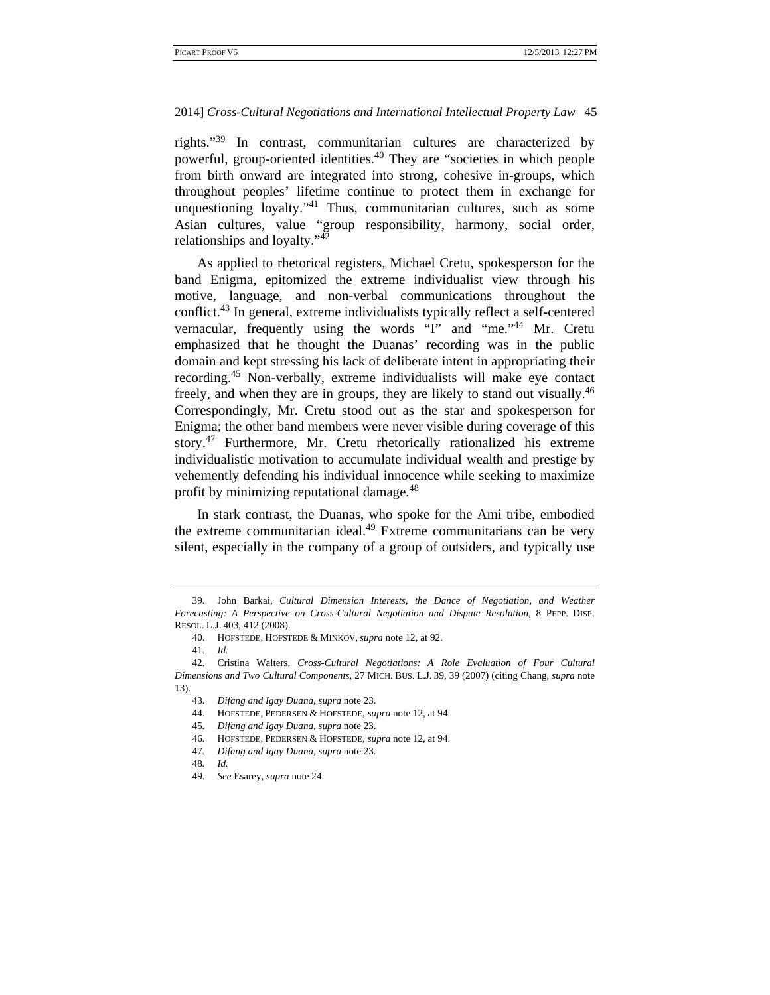rights."39 In contrast, communitarian cultures are characterized by powerful, group-oriented identities.40 They are "societies in which people from birth onward are integrated into strong, cohesive in-groups, which throughout peoples' lifetime continue to protect them in exchange for unquestioning loyalty."41 Thus, communitarian cultures, such as some Asian cultures, value "group responsibility, harmony, social order, relationships and loyalty."42

As applied to rhetorical registers, Michael Cretu, spokesperson for the band Enigma, epitomized the extreme individualist view through his motive, language, and non-verbal communications throughout the conflict.43 In general, extreme individualists typically reflect a self-centered vernacular, frequently using the words "I" and "me."44 Mr. Cretu emphasized that he thought the Duanas' recording was in the public domain and kept stressing his lack of deliberate intent in appropriating their recording.45 Non-verbally, extreme individualists will make eye contact freely, and when they are in groups, they are likely to stand out visually.<sup>46</sup> Correspondingly, Mr. Cretu stood out as the star and spokesperson for Enigma; the other band members were never visible during coverage of this story.47 Furthermore, Mr. Cretu rhetorically rationalized his extreme individualistic motivation to accumulate individual wealth and prestige by vehemently defending his individual innocence while seeking to maximize profit by minimizing reputational damage.<sup>48</sup>

In stark contrast, the Duanas, who spoke for the Ami tribe, embodied the extreme communitarian ideal.<sup>49</sup> Extreme communitarians can be very silent, especially in the company of a group of outsiders, and typically use

 <sup>39.</sup> John Barkai, *Cultural Dimension Interests, the Dance of Negotiation, and Weather Forecasting: A Perspective on Cross-Cultural Negotiation and Dispute Resolution*, 8 PEPP. DISP. RESOL. L.J. 403, 412 (2008).

 <sup>40.</sup> HOFSTEDE, HOFSTEDE & MINKOV, *supra* note 12, at 92.

 <sup>41.</sup> *Id.*

 <sup>42.</sup> Cristina Walters, *Cross-Cultural Negotiations: A Role Evaluation of Four Cultural Dimensions and Two Cultural Components*, 27 MICH. BUS. L.J. 39, 39 (2007) (citing Chang, *supra* note 13).

 <sup>43.</sup> *Difang and Igay Duana*, *supra* note 23.

 <sup>44.</sup> HOFSTEDE, PEDERSEN & HOFSTEDE, *supra* note 12, at 94.

<sup>45</sup>*. Difang and Igay Duana*, *supra* note 23.

 <sup>46.</sup> HOFSTEDE, PEDERSEN & HOFSTEDE, *supra* note 12, at 94.

<sup>47</sup>*. Difang and Igay Duana*, *supra* note 23.

<sup>48</sup>*. Id.*

 <sup>49.</sup> *See* Esarey, *supra* note 24.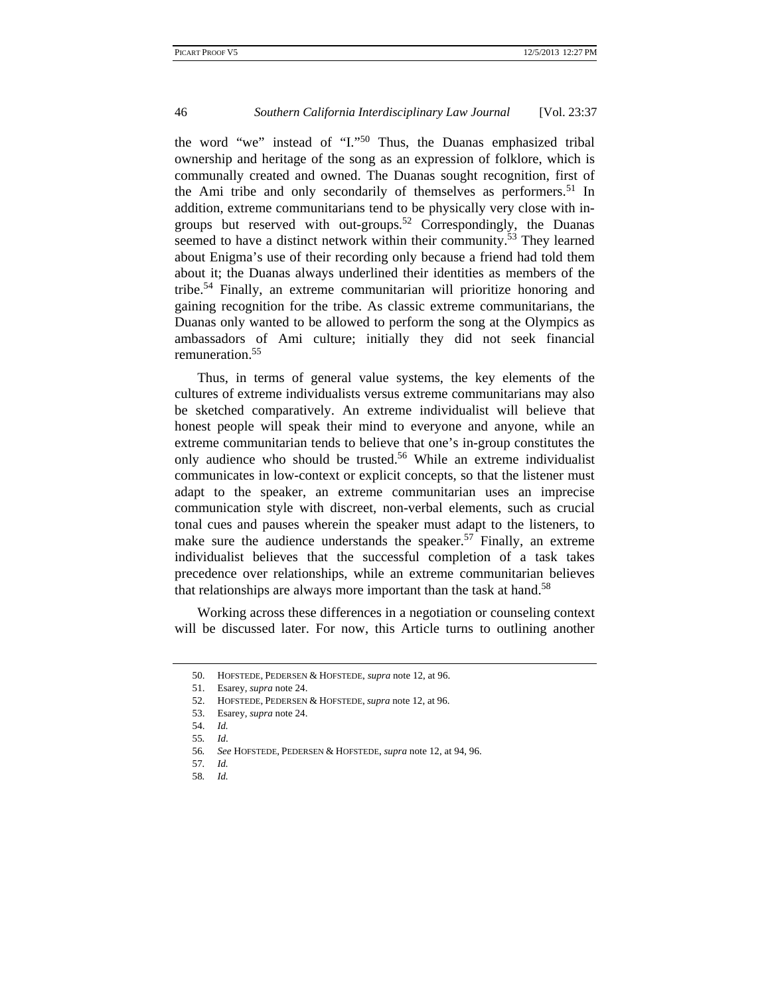the word "we" instead of "I."50 Thus, the Duanas emphasized tribal ownership and heritage of the song as an expression of folklore, which is communally created and owned. The Duanas sought recognition, first of the Ami tribe and only secondarily of themselves as performers.<sup>51</sup> In addition, extreme communitarians tend to be physically very close with ingroups but reserved with out-groups.<sup>52</sup> Correspondingly, the Duanas seemed to have a distinct network within their community.<sup>53</sup> They learned about Enigma's use of their recording only because a friend had told them about it; the Duanas always underlined their identities as members of the tribe.54 Finally, an extreme communitarian will prioritize honoring and gaining recognition for the tribe. As classic extreme communitarians, the Duanas only wanted to be allowed to perform the song at the Olympics as ambassadors of Ami culture; initially they did not seek financial remuneration.<sup>55</sup>

Thus, in terms of general value systems, the key elements of the cultures of extreme individualists versus extreme communitarians may also be sketched comparatively. An extreme individualist will believe that honest people will speak their mind to everyone and anyone, while an extreme communitarian tends to believe that one's in-group constitutes the only audience who should be trusted.<sup>56</sup> While an extreme individualist communicates in low-context or explicit concepts, so that the listener must adapt to the speaker, an extreme communitarian uses an imprecise communication style with discreet, non-verbal elements, such as crucial tonal cues and pauses wherein the speaker must adapt to the listeners, to make sure the audience understands the speaker.<sup>57</sup> Finally, an extreme individualist believes that the successful completion of a task takes precedence over relationships, while an extreme communitarian believes that relationships are always more important than the task at hand.<sup>58</sup>

Working across these differences in a negotiation or counseling context will be discussed later. For now, this Article turns to outlining another

 <sup>50.</sup> HOFSTEDE, PEDERSEN & HOFSTEDE, *supra* note 12, at 96.

 <sup>51.</sup> Esarey, *supra* note 24.

 <sup>52.</sup> HOFSTEDE, PEDERSEN & HOFSTEDE, *supra* note 12, at 96.

 <sup>53.</sup> Esarey, *supra* note 24.

 <sup>54.</sup> *Id.*

<sup>55</sup>*. Id*.

<sup>56</sup>*. See* HOFSTEDE, PEDERSEN & HOFSTEDE, *supra* note 12, at 94, 96.

<sup>57</sup>*. Id.*

<sup>58</sup>*. Id.*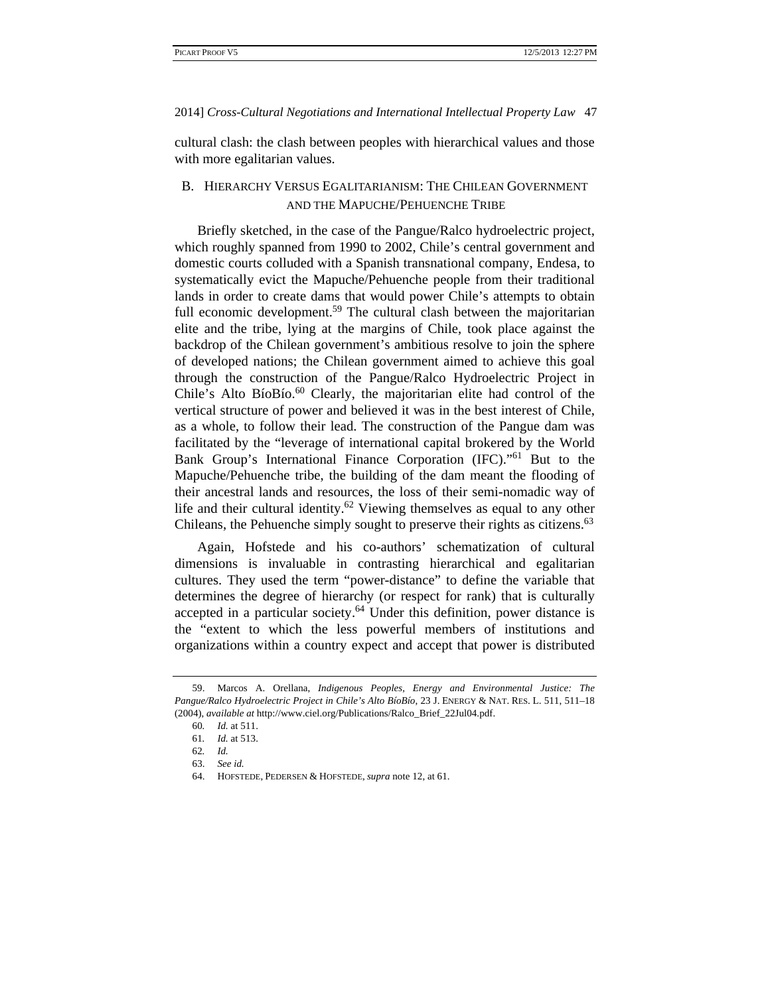cultural clash: the clash between peoples with hierarchical values and those with more egalitarian values.

# B. HIERARCHY VERSUS EGALITARIANISM: THE CHILEAN GOVERNMENT AND THE MAPUCHE/PEHUENCHE TRIBE

Briefly sketched, in the case of the Pangue/Ralco hydroelectric project, which roughly spanned from 1990 to 2002, Chile's central government and domestic courts colluded with a Spanish transnational company, Endesa, to systematically evict the Mapuche/Pehuenche people from their traditional lands in order to create dams that would power Chile's attempts to obtain full economic development.<sup>59</sup> The cultural clash between the majoritarian elite and the tribe, lying at the margins of Chile, took place against the backdrop of the Chilean government's ambitious resolve to join the sphere of developed nations; the Chilean government aimed to achieve this goal through the construction of the Pangue/Ralco Hydroelectric Project in Chile's Alto BíoBío. $^{60}$  Clearly, the majoritarian elite had control of the vertical structure of power and believed it was in the best interest of Chile, as a whole, to follow their lead. The construction of the Pangue dam was facilitated by the "leverage of international capital brokered by the World Bank Group's International Finance Corporation (IFC)."61 But to the Mapuche/Pehuenche tribe, the building of the dam meant the flooding of their ancestral lands and resources, the loss of their semi-nomadic way of life and their cultural identity.<sup>62</sup> Viewing themselves as equal to any other Chileans, the Pehuenche simply sought to preserve their rights as citizens.<sup>63</sup>

Again, Hofstede and his co-authors' schematization of cultural dimensions is invaluable in contrasting hierarchical and egalitarian cultures. They used the term "power-distance" to define the variable that determines the degree of hierarchy (or respect for rank) that is culturally accepted in a particular society.<sup>64</sup> Under this definition, power distance is the "extent to which the less powerful members of institutions and organizations within a country expect and accept that power is distributed

 <sup>59.</sup> Marcos A. Orellana, *Indigenous Peoples, Energy and Environmental Justice: The Pangue/Ralco Hydroelectric Project in Chile's Alto BíoBío*, 23 J. ENERGY & NAT. RES. L. 511, 511–18 (2004), *available at* http://www.ciel.org/Publications/Ralco\_Brief\_22Jul04.pdf.

<sup>60</sup>*. Id.* at 511.

<sup>61</sup>*. Id.* at 513.

<sup>62</sup>*. Id.*

 <sup>63.</sup> *See id.* 

 <sup>64.</sup> HOFSTEDE, PEDERSEN & HOFSTEDE, *supra* note 12, at 61.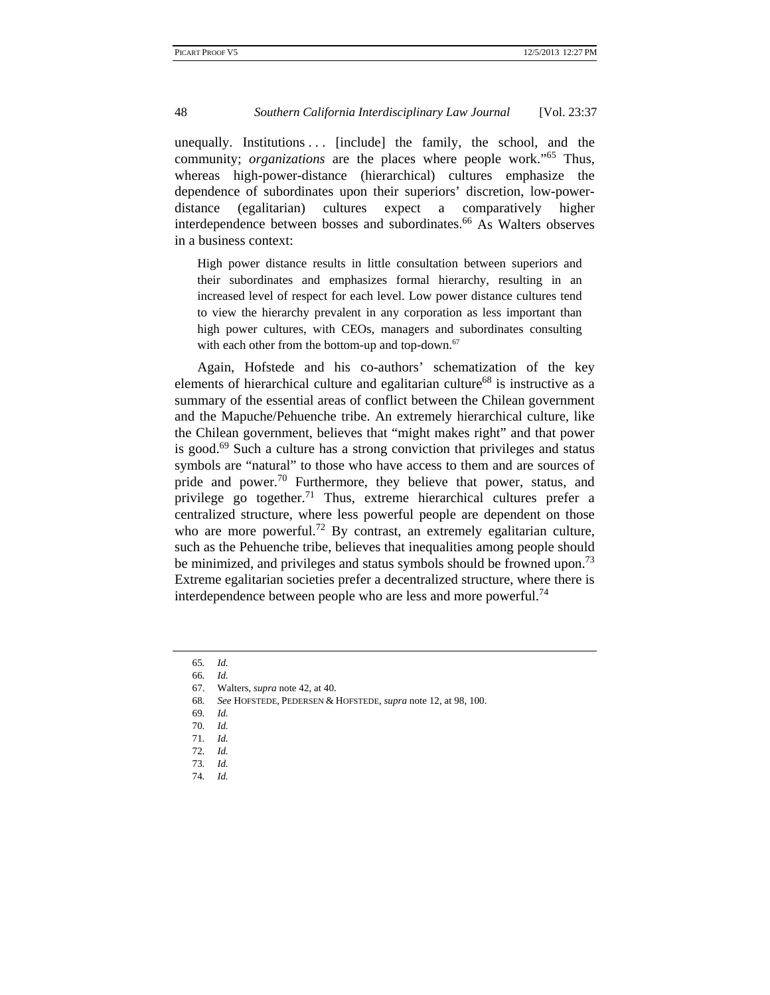unequally. Institutions  $\ldots$  [include] the family, the school, and the community; *organizations* are the places where people work."<sup>65</sup> Thus, whereas high-power-distance (hierarchical) cultures emphasize the dependence of subordinates upon their superiors' discretion, low-powerdistance (egalitarian) cultures expect a comparatively higher interdependence between bosses and subordinates.<sup>66</sup> As Walters observes in a business context:

High power distance results in little consultation between superiors and their subordinates and emphasizes formal hierarchy, resulting in an increased level of respect for each level. Low power distance cultures tend to view the hierarchy prevalent in any corporation as less important than high power cultures, with CEOs, managers and subordinates consulting with each other from the bottom-up and top-down. $67$ 

Again, Hofstede and his co-authors' schematization of the key elements of hierarchical culture and egalitarian culture<sup>68</sup> is instructive as a summary of the essential areas of conflict between the Chilean government and the Mapuche/Pehuenche tribe. An extremely hierarchical culture, like the Chilean government, believes that "might makes right" and that power is good.<sup>69</sup> Such a culture has a strong conviction that privileges and status symbols are "natural" to those who have access to them and are sources of pride and power.<sup>70</sup> Furthermore, they believe that power, status, and privilege go together.<sup>71</sup> Thus, extreme hierarchical cultures prefer a centralized structure, where less powerful people are dependent on those who are more powerful.<sup>72</sup> By contrast, an extremely egalitarian culture, such as the Pehuenche tribe, believes that inequalities among people should be minimized, and privileges and status symbols should be frowned upon.<sup>73</sup> Extreme egalitarian societies prefer a decentralized structure, where there is interdependence between people who are less and more powerful.<sup>74</sup>

- 69*. Id.*
- 70*. Id.*

<sup>65</sup>*. Id.*

<sup>66</sup>*. Id.*

 <sup>67.</sup> Walters, *supra* note 42, at 40.

<sup>68</sup>*. See* HOFSTEDE, PEDERSEN & HOFSTEDE, *supra* note 12, at 98, 100.

<sup>71</sup>*. Id.*

<sup>72</sup>*. Id.*

<sup>73</sup>*. Id.* 74*. Id.*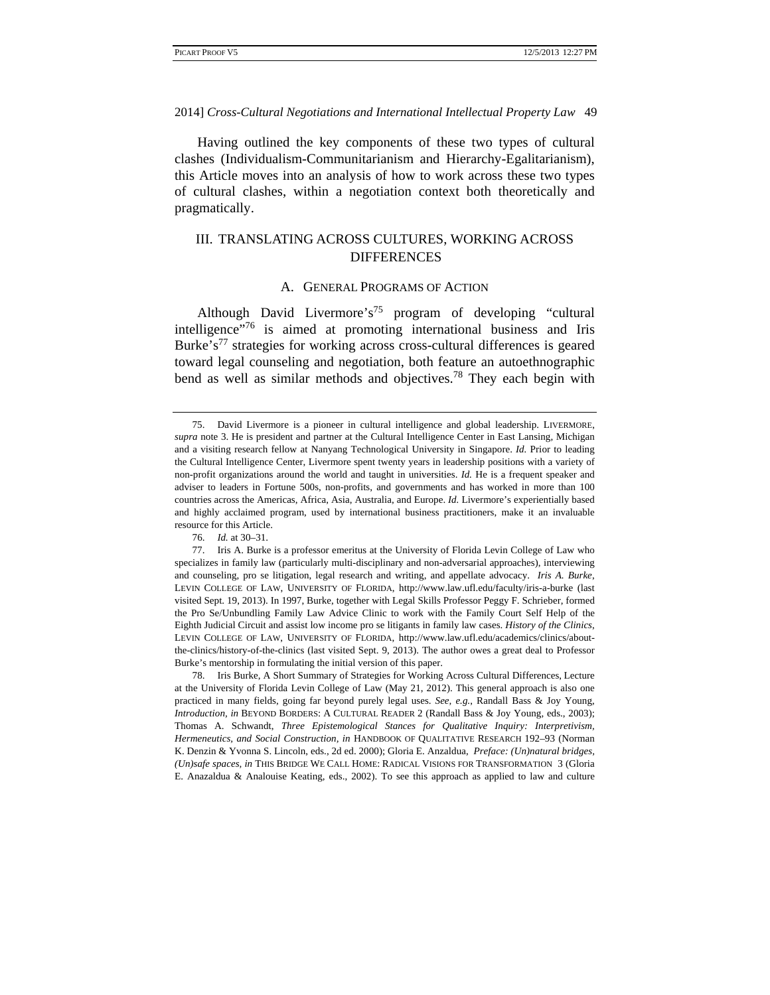Having outlined the key components of these two types of cultural clashes (Individualism-Communitarianism and Hierarchy-Egalitarianism), this Article moves into an analysis of how to work across these two types of cultural clashes, within a negotiation context both theoretically and pragmatically.

# III. TRANSLATING ACROSS CULTURES, WORKING ACROSS DIFFERENCES

# A. GENERAL PROGRAMS OF ACTION

Although David Livermore's<sup>75</sup> program of developing "cultural intelligence"76 is aimed at promoting international business and Iris Burke's<sup>77</sup> strategies for working across cross-cultural differences is geared toward legal counseling and negotiation, both feature an autoethnographic bend as well as similar methods and objectives.<sup>78</sup> They each begin with

 <sup>75.</sup> David Livermore is a pioneer in cultural intelligence and global leadership. LIVERMORE, *supra* note 3. He is president and partner at the Cultural Intelligence Center in East Lansing, Michigan and a visiting research fellow at Nanyang Technological University in Singapore. *Id.* Prior to leading the Cultural Intelligence Center, Livermore spent twenty years in leadership positions with a variety of non-profit organizations around the world and taught in universities. *Id.* He is a frequent speaker and adviser to leaders in Fortune 500s, non-profits, and governments and has worked in more than 100 countries across the Americas, Africa, Asia, Australia, and Europe. *Id.* Livermore's experientially based and highly acclaimed program, used by international business practitioners, make it an invaluable resource for this Article.

 <sup>76.</sup> *Id.* at 30–31.

 <sup>77.</sup> Iris A. Burke is a professor emeritus at the University of Florida Levin College of Law who specializes in family law (particularly multi-disciplinary and non-adversarial approaches), interviewing and counseling, pro se litigation, legal research and writing, and appellate advocacy. *Iris A. Burke*, LEVIN COLLEGE OF LAW, UNIVERSITY OF FLORIDA, http://www.law.ufl.edu/faculty/iris-a-burke (last visited Sept. 19, 2013). In 1997, Burke, together with Legal Skills Professor Peggy F. Schrieber, formed the Pro Se/Unbundling Family Law Advice Clinic to work with the Family Court Self Help of the Eighth Judicial Circuit and assist low income pro se litigants in family law cases. *History of the Clinics*, LEVIN COLLEGE OF LAW, UNIVERSITY OF FLORIDA, http://www.law.ufl.edu/academics/clinics/aboutthe-clinics/history-of-the-clinics (last visited Sept. 9, 2013). The author owes a great deal to Professor Burke's mentorship in formulating the initial version of this paper.

 <sup>78.</sup> Iris Burke, A Short Summary of Strategies for Working Across Cultural Differences, Lecture at the University of Florida Levin College of Law (May 21, 2012). This general approach is also one practiced in many fields, going far beyond purely legal uses. *See, e.g.*, Randall Bass & Joy Young, *Introduction, in* BEYOND BORDERS: A CULTURAL READER 2 (Randall Bass & Joy Young, eds., 2003); Thomas A. Schwandt, *Three Epistemological Stances for Qualitative Inquiry: Interpretivism, Hermeneutics, and Social Construction, in* HANDBOOK OF QUALITATIVE RESEARCH 192–93 (Norman K. Denzin & Yvonna S. Lincoln, eds., 2d ed. 2000); Gloria E. Anzaldua, *Preface: (Un)natural bridges, (Un)safe spaces, in* THIS BRIDGE WE CALL HOME: RADICAL VISIONS FOR TRANSFORMATION 3 (Gloria E. Anazaldua & Analouise Keating, eds., 2002). To see this approach as applied to law and culture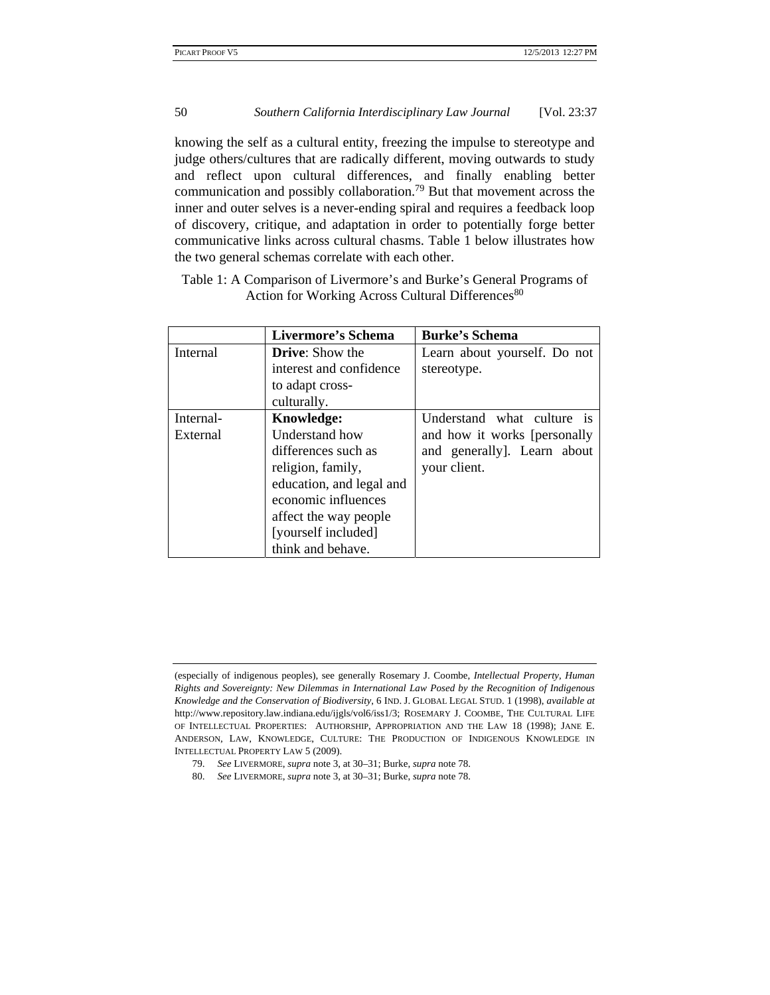knowing the self as a cultural entity, freezing the impulse to stereotype and judge others/cultures that are radically different, moving outwards to study and reflect upon cultural differences, and finally enabling better communication and possibly collaboration.79 But that movement across the inner and outer selves is a never-ending spiral and requires a feedback loop of discovery, critique, and adaptation in order to potentially forge better communicative links across cultural chasms. Table 1 below illustrates how the two general schemas correlate with each other.

Table 1: A Comparison of Livermore's and Burke's General Programs of Action for Working Across Cultural Differences<sup>80</sup>

|           | <b>Livermore's Schema</b> | <b>Burke's Schema</b>        |
|-----------|---------------------------|------------------------------|
| Internal  | <b>Drive:</b> Show the    | Learn about yourself. Do not |
|           | interest and confidence   | stereotype.                  |
|           | to adapt cross-           |                              |
|           | culturally.               |                              |
| Internal- | <b>Knowledge:</b>         | Understand what culture is   |
| External  | Understand how            | and how it works [personally |
|           | differences such as       | and generally]. Learn about  |
|           | religion, family,         | your client.                 |
|           | education, and legal and  |                              |
|           | economic influences       |                              |
|           | affect the way people     |                              |
|           | [yourself included]       |                              |
|           | think and behave.         |                              |

<sup>(</sup>especially of indigenous peoples), see generally Rosemary J. Coombe, *Intellectual Property, Human Rights and Sovereignty: New Dilemmas in International Law Posed by the Recognition of Indigenous Knowledge and the Conservation of Biodiversity*, 6 IND. J. GLOBAL LEGAL STUD. 1 (1998), *available at*  http://www.repository.law.indiana.edu/ijgls/vol6/iss1/3; ROSEMARY J. COOMBE, THE CULTURAL LIFE OF INTELLECTUAL PROPERTIES: AUTHORSHIP, APPROPRIATION AND THE LAW 18 (1998); JANE E. ANDERSON, LAW, KNOWLEDGE, CULTURE: THE PRODUCTION OF INDIGENOUS KNOWLEDGE IN INTELLECTUAL PROPERTY LAW 5 (2009).

 <sup>79.</sup> *See* LIVERMORE, *supra* note 3, at 30–31; Burke, *supra* note 78.

 <sup>80.</sup> *See* LIVERMORE, *supra* note 3, at 30–31; Burke, *supra* note 78.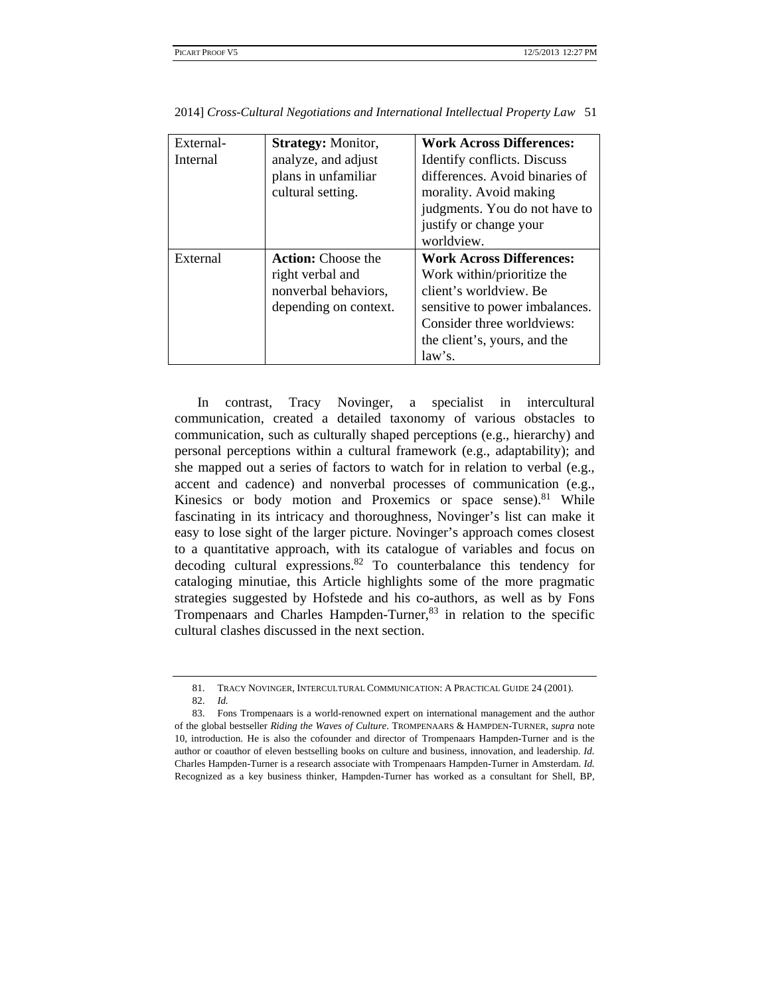| External-<br>Internal | <b>Strategy: Monitor,</b><br>analyze, and adjust<br>plans in unfamiliar<br>cultural setting.   | <b>Work Across Differences:</b><br>Identify conflicts. Discuss<br>differences. Avoid binaries of<br>morality. Avoid making<br>judgments. You do not have to<br>justify or change your<br>worldview. |
|-----------------------|------------------------------------------------------------------------------------------------|-----------------------------------------------------------------------------------------------------------------------------------------------------------------------------------------------------|
| External              | <b>Action:</b> Choose the<br>right verbal and<br>nonverbal behaviors,<br>depending on context. | <b>Work Across Differences:</b><br>Work within/prioritize the<br>client's worldview. Be<br>sensitive to power imbalances.<br>Consider three worldviews:<br>the client's, yours, and the<br>law's.   |

In contrast, Tracy Novinger, a specialist in intercultural communication, created a detailed taxonomy of various obstacles to communication, such as culturally shaped perceptions (e.g., hierarchy) and personal perceptions within a cultural framework (e.g., adaptability); and she mapped out a series of factors to watch for in relation to verbal (e.g., accent and cadence) and nonverbal processes of communication (e.g., Kinesics or body motion and Proxemics or space sense).<sup>81</sup> While fascinating in its intricacy and thoroughness, Novinger's list can make it easy to lose sight of the larger picture. Novinger's approach comes closest to a quantitative approach, with its catalogue of variables and focus on decoding cultural expressions.<sup>82</sup> To counterbalance this tendency for cataloging minutiae, this Article highlights some of the more pragmatic strategies suggested by Hofstede and his co-authors, as well as by Fons Trompenaars and Charles Hampden-Turner, $83$  in relation to the specific cultural clashes discussed in the next section.

 <sup>81.</sup> TRACY NOVINGER, INTERCULTURAL COMMUNICATION: A PRACTICAL GUIDE 24 (2001). 82. *Id.* 

 <sup>83.</sup> Fons Trompenaars is a world-renowned expert on international management and the author of the global bestseller *Riding the Waves of Culture*. TROMPENAARS & HAMPDEN-TURNER, *supra* note 10, introduction. He is also the cofounder and director of Trompenaars Hampden-Turner and is the author or coauthor of eleven bestselling books on culture and business, innovation, and leadership. *Id.* Charles Hampden-Turner is a research associate with Trompenaars Hampden-Turner in Amsterdam. *Id.* Recognized as a key business thinker, Hampden-Turner has worked as a consultant for Shell, BP,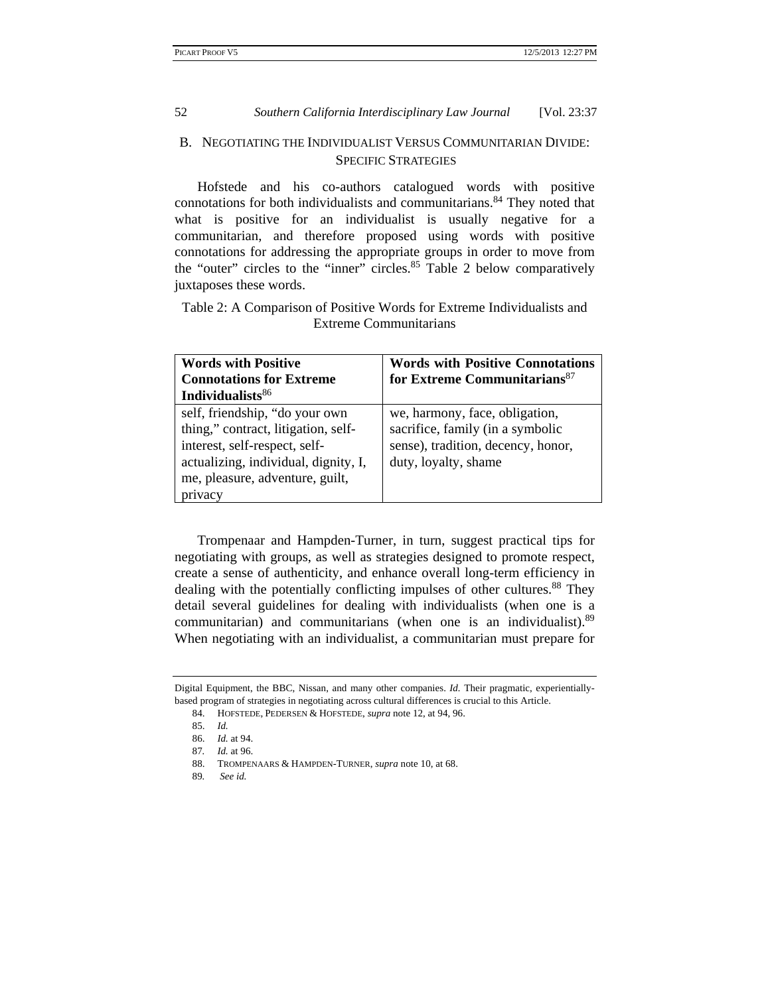# B. NEGOTIATING THE INDIVIDUALIST VERSUS COMMUNITARIAN DIVIDE: SPECIFIC STRATEGIES

Hofstede and his co-authors catalogued words with positive connotations for both individualists and communitarians.<sup>84</sup> They noted that what is positive for an individualist is usually negative for a communitarian, and therefore proposed using words with positive connotations for addressing the appropriate groups in order to move from the "outer" circles to the "inner" circles.<sup>85</sup> Table 2 below comparatively juxtaposes these words.

Table 2: A Comparison of Positive Words for Extreme Individualists and Extreme Communitarians

| <b>Words with Positive</b>           | <b>Words with Positive Connotations</b>  |  |
|--------------------------------------|------------------------------------------|--|
| <b>Connotations for Extreme</b>      | for Extreme Communitarians <sup>87</sup> |  |
| Individualists <sup>86</sup>         |                                          |  |
| self, friendship, "do your own       | we, harmony, face, obligation,           |  |
| thing," contract, litigation, self-  | sacrifice, family (in a symbolic         |  |
| interest, self-respect, self-        | sense), tradition, decency, honor,       |  |
| actualizing, individual, dignity, I, | duty, loyalty, shame                     |  |
| me, pleasure, adventure, guilt,      |                                          |  |
| privacy                              |                                          |  |

Trompenaar and Hampden-Turner, in turn, suggest practical tips for negotiating with groups, as well as strategies designed to promote respect, create a sense of authenticity, and enhance overall long-term efficiency in dealing with the potentially conflicting impulses of other cultures.<sup>88</sup> They detail several guidelines for dealing with individualists (when one is a communitarian) and communitarians (when one is an individualist).<sup>89</sup> When negotiating with an individualist, a communitarian must prepare for

Digital Equipment, the BBC, Nissan, and many other companies. *Id.* Their pragmatic, experientiallybased program of strategies in negotiating across cultural differences is crucial to this Article.

 <sup>84.</sup> HOFSTEDE, PEDERSEN & HOFSTEDE, *supra* note 12, at 94, 96.

 <sup>85.</sup> *Id.*

 <sup>86.</sup> *Id.* at 94.

<sup>87</sup>*. Id.* at 96.

 <sup>88.</sup> TROMPENAARS & HAMPDEN-TURNER, *supra* note 10, at 68.

<sup>89</sup>*. See id.*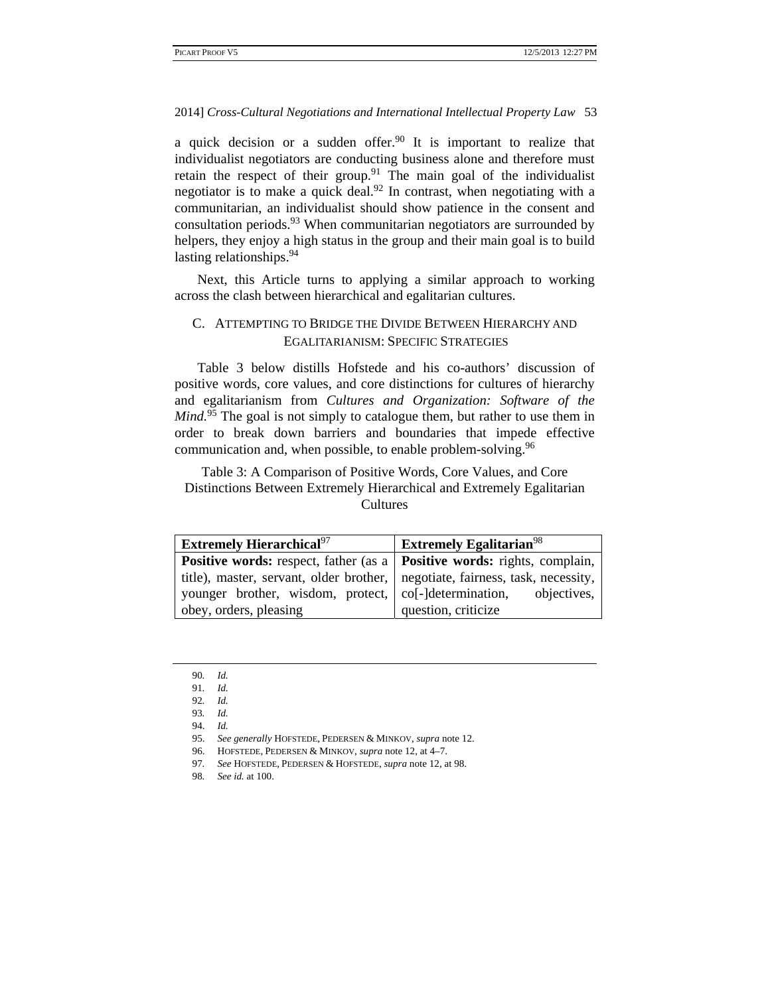a quick decision or a sudden offer.<sup>90</sup> It is important to realize that individualist negotiators are conducting business alone and therefore must retain the respect of their group.<sup>91</sup> The main goal of the individualist negotiator is to make a quick deal.<sup>92</sup> In contrast, when negotiating with a communitarian, an individualist should show patience in the consent and consultation periods.<sup>93</sup> When communitarian negotiators are surrounded by helpers, they enjoy a high status in the group and their main goal is to build lasting relationships.<sup>94</sup>

Next, this Article turns to applying a similar approach to working across the clash between hierarchical and egalitarian cultures.

# C. ATTEMPTING TO BRIDGE THE DIVIDE BETWEEN HIERARCHY AND EGALITARIANISM: SPECIFIC STRATEGIES

Table 3 below distills Hofstede and his co-authors' discussion of positive words, core values, and core distinctions for cultures of hierarchy and egalitarianism from *Cultures and Organization: Software of the Mind.*<sup>95</sup> The goal is not simply to catalogue them, but rather to use them in order to break down barriers and boundaries that impede effective communication and, when possible, to enable problem-solving.<sup>96</sup>

Table 3: A Comparison of Positive Words, Core Values, and Core Distinctions Between Extremely Hierarchical and Extremely Egalitarian **Cultures** 

| <b>Extremely Hierarchical</b> <sup>97</sup>                                             | <b>Extremely Egalitarian</b> <sup>98</sup> |
|-----------------------------------------------------------------------------------------|--------------------------------------------|
| <b>Positive words:</b> respect, father (as a   <b>Positive words:</b> rights, complain, |                                            |
| title), master, servant, older brother, negotiate, fairness, task, necessity,           |                                            |
| younger brother, wisdom, protect,   co[-]determination, objectives,                     |                                            |
| obey, orders, pleasing                                                                  | question, criticize                        |

92*. Id.* 93*. Id.*

<sup>90</sup>*. Id.*

<sup>91</sup>*. Id.*

 <sup>94.</sup> *Id.*

 <sup>95.</sup> *See generally* HOFSTEDE, PEDERSEN & MINKOV, *supra* note 12.

 <sup>96.</sup> HOFSTEDE, PEDERSEN & MINKOV, *supra* note 12, at 4–7.

<sup>97</sup>*. See* HOFSTEDE, PEDERSEN & HOFSTEDE, *supra* note 12, at 98.

<sup>98</sup>*. See id.* at 100.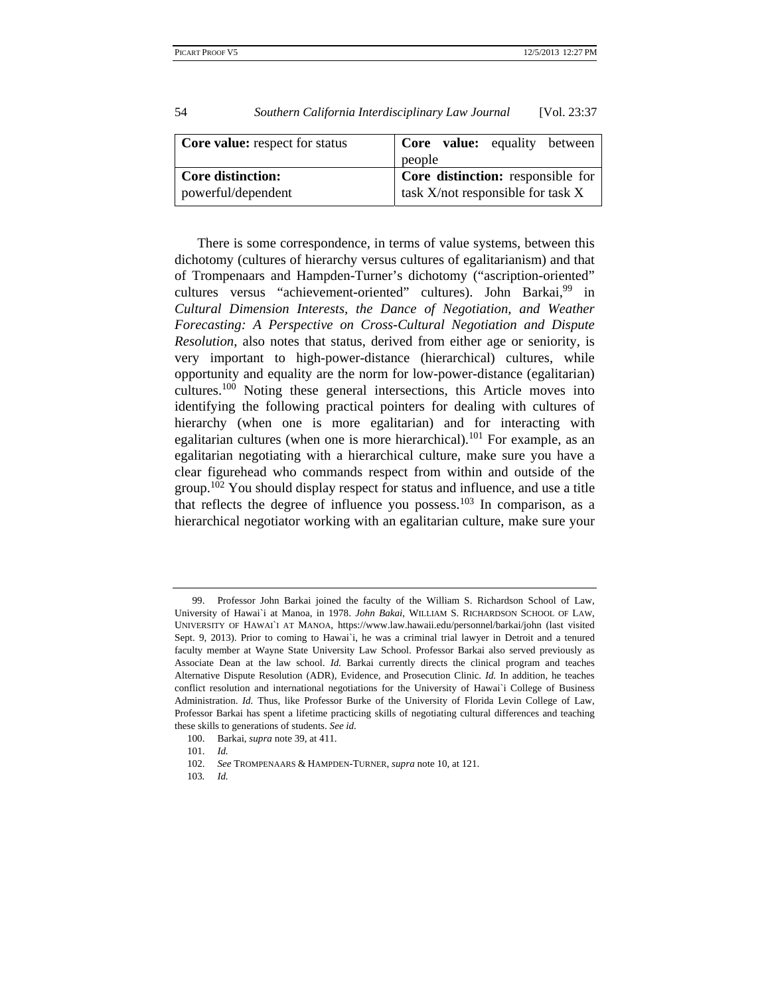| <b>Core value:</b> respect for status | <b>Core</b> value: equality between      |
|---------------------------------------|------------------------------------------|
|                                       | people                                   |
| <b>Core distinction:</b>              | <b>Core distinction:</b> responsible for |
| powerful/dependent                    | task X/not responsible for task X        |

There is some correspondence, in terms of value systems, between this dichotomy (cultures of hierarchy versus cultures of egalitarianism) and that of Trompenaars and Hampden-Turner's dichotomy ("ascription-oriented" cultures versus "achievement-oriented" cultures). John Barkai,<sup>99</sup> in *Cultural Dimension Interests, the Dance of Negotiation, and Weather Forecasting: A Perspective on Cross-Cultural Negotiation and Dispute Resolution*, also notes that status, derived from either age or seniority, is very important to high-power-distance (hierarchical) cultures, while opportunity and equality are the norm for low-power-distance (egalitarian) cultures.100 Noting these general intersections, this Article moves into identifying the following practical pointers for dealing with cultures of hierarchy (when one is more egalitarian) and for interacting with egalitarian cultures (when one is more hierarchical).<sup>101</sup> For example, as an egalitarian negotiating with a hierarchical culture, make sure you have a clear figurehead who commands respect from within and outside of the group.<sup>102</sup> You should display respect for status and influence, and use a title that reflects the degree of influence you possess.<sup>103</sup> In comparison, as a hierarchical negotiator working with an egalitarian culture, make sure your

 <sup>99.</sup> Professor John Barkai joined the faculty of the William S. Richardson School of Law, University of Hawai`i at Manoa, in 1978. *John Bakai*, WILLIAM S. RICHARDSON SCHOOL OF LAW, UNIVERSITY OF HAWAI`I AT MANOA, https://www.law.hawaii.edu/personnel/barkai/john (last visited Sept. 9, 2013). Prior to coming to Hawai`i, he was a criminal trial lawyer in Detroit and a tenured faculty member at Wayne State University Law School. Professor Barkai also served previously as Associate Dean at the law school. *Id.* Barkai currently directs the clinical program and teaches Alternative Dispute Resolution (ADR), Evidence, and Prosecution Clinic. *Id.* In addition, he teaches conflict resolution and international negotiations for the University of Hawai`i College of Business Administration. *Id.* Thus, like Professor Burke of the University of Florida Levin College of Law, Professor Barkai has spent a lifetime practicing skills of negotiating cultural differences and teaching these skills to generations of students. *See id.*

 <sup>100.</sup> Barkai, *supra* note 39, at 411.

 <sup>101.</sup> *Id.*

 <sup>102.</sup> *See* TROMPENAARS & HAMPDEN-TURNER, *supra* note 10, at 121.

<sup>103</sup>*. Id.*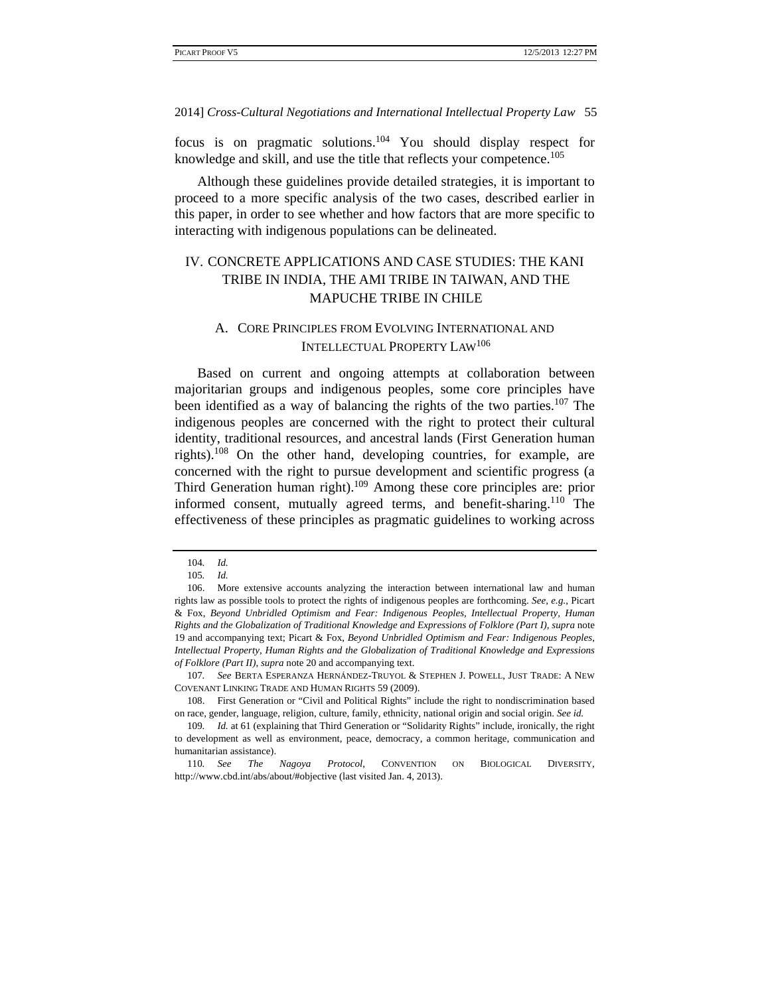focus is on pragmatic solutions.104 You should display respect for knowledge and skill, and use the title that reflects your competence.<sup>105</sup>

Although these guidelines provide detailed strategies, it is important to proceed to a more specific analysis of the two cases, described earlier in this paper, in order to see whether and how factors that are more specific to interacting with indigenous populations can be delineated.

# IV. CONCRETE APPLICATIONS AND CASE STUDIES: THE KANI TRIBE IN INDIA, THE AMI TRIBE IN TAIWAN, AND THE MAPUCHE TRIBE IN CHILE

# A. CORE PRINCIPLES FROM EVOLVING INTERNATIONAL AND INTELLECTUAL PROPERTY LAW106

Based on current and ongoing attempts at collaboration between majoritarian groups and indigenous peoples, some core principles have been identified as a way of balancing the rights of the two parties.<sup>107</sup> The indigenous peoples are concerned with the right to protect their cultural identity, traditional resources, and ancestral lands (First Generation human rights).<sup>108</sup> On the other hand, developing countries, for example, are concerned with the right to pursue development and scientific progress (a Third Generation human right).109 Among these core principles are: prior informed consent, mutually agreed terms, and benefit-sharing.<sup>110</sup> The effectiveness of these principles as pragmatic guidelines to working across

107*. See* BERTA ESPERANZA HERNÁNDEZ-TRUYOL & STEPHEN J. POWELL, JUST TRADE: A NEW COVENANT LINKING TRADE AND HUMAN RIGHTS 59 (2009).

<sup>104</sup>*. Id.*

<sup>105</sup>*. Id.*

 <sup>106.</sup> More extensive accounts analyzing the interaction between international law and human rights law as possible tools to protect the rights of indigenous peoples are forthcoming. *See, e.g.*, Picart & Fox, *Beyond Unbridled Optimism and Fear: Indigenous Peoples, Intellectual Property, Human Rights and the Globalization of Traditional Knowledge and Expressions of Folklore (Part I)*, *supra* note 19 and accompanying text; Picart & Fox, *Beyond Unbridled Optimism and Fear: Indigenous Peoples, Intellectual Property, Human Rights and the Globalization of Traditional Knowledge and Expressions of Folklore (Part II)*, *supra* note 20 and accompanying text.

 <sup>108.</sup> First Generation or "Civil and Political Rights" include the right to nondiscrimination based on race, gender, language, religion, culture, family, ethnicity, national origin and social origin. *See id.*

<sup>109</sup>*. Id.* at 61 (explaining that Third Generation or "Solidarity Rights" include, ironically, the right to development as well as environment, peace, democracy, a common heritage, communication and humanitarian assistance).

<sup>110</sup>*. See The Nagoya Protocol*, CONVENTION ON BIOLOGICAL DIVERSITY, http://www.cbd.int/abs/about/#objective (last visited Jan. 4, 2013).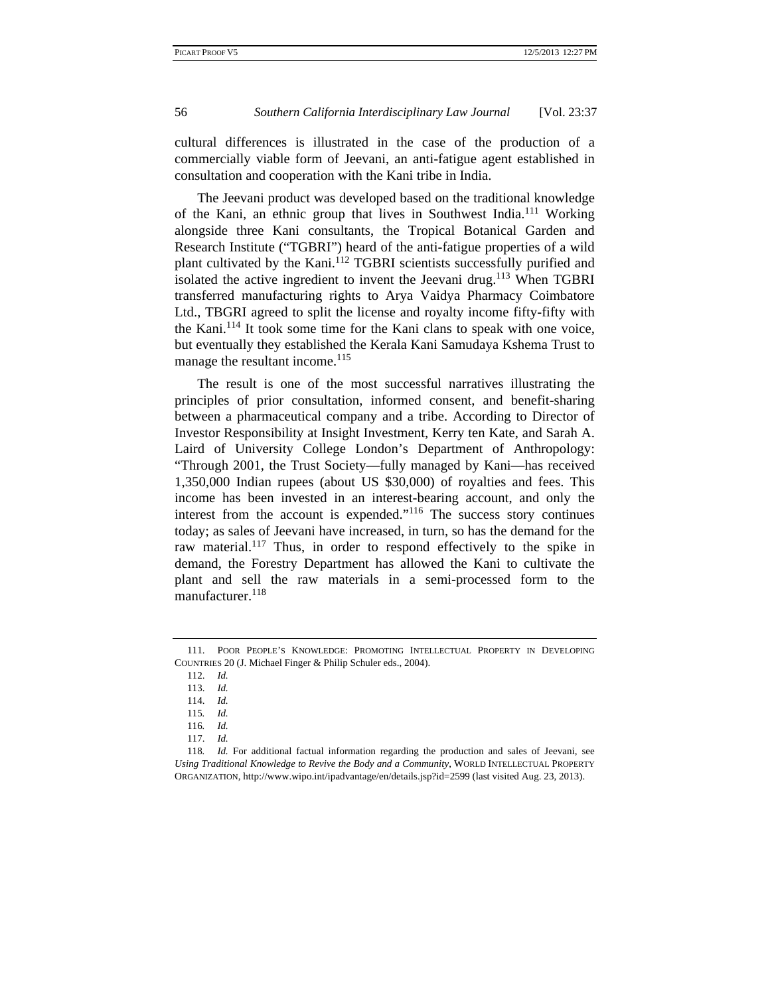cultural differences is illustrated in the case of the production of a commercially viable form of Jeevani, an anti-fatigue agent established in consultation and cooperation with the Kani tribe in India.

The Jeevani product was developed based on the traditional knowledge of the Kani, an ethnic group that lives in Southwest India.111 Working alongside three Kani consultants, the Tropical Botanical Garden and Research Institute ("TGBRI") heard of the anti-fatigue properties of a wild plant cultivated by the Kani.<sup>112</sup> TGBRI scientists successfully purified and isolated the active ingredient to invent the Jeevani drug.<sup>113</sup> When TGBRI transferred manufacturing rights to Arya Vaidya Pharmacy Coimbatore Ltd., TBGRI agreed to split the license and royalty income fifty-fifty with the Kani.114 It took some time for the Kani clans to speak with one voice, but eventually they established the Kerala Kani Samudaya Kshema Trust to manage the resultant income.<sup>115</sup>

The result is one of the most successful narratives illustrating the principles of prior consultation, informed consent, and benefit-sharing between a pharmaceutical company and a tribe. According to Director of Investor Responsibility at Insight Investment, Kerry ten Kate, and Sarah A. Laird of University College London's Department of Anthropology: "Through 2001, the Trust Society—fully managed by Kani—has received 1,350,000 Indian rupees (about US \$30,000) of royalties and fees. This income has been invested in an interest-bearing account, and only the interest from the account is expended."116 The success story continues today; as sales of Jeevani have increased, in turn, so has the demand for the raw material.<sup>117</sup> Thus, in order to respond effectively to the spike in demand, the Forestry Department has allowed the Kani to cultivate the plant and sell the raw materials in a semi-processed form to the manufacturer.<sup>118</sup>

 <sup>111.</sup> POOR PEOPLE'S KNOWLEDGE: PROMOTING INTELLECTUAL PROPERTY IN DEVELOPING COUNTRIES 20 (J. Michael Finger & Philip Schuler eds., 2004).

 <sup>112.</sup> *Id.*

 <sup>113.</sup> *Id.*

 <sup>114.</sup> *Id.*

<sup>115</sup>*. Id.*

<sup>116</sup>*. Id.*

 <sup>117.</sup> *Id.*

<sup>118</sup>*. Id.* For additional factual information regarding the production and sales of Jeevani, see *Using Traditional Knowledge to Revive the Body and a Community*, WORLD INTELLECTUAL PROPERTY ORGANIZATION, http://www.wipo.int/ipadvantage/en/details.jsp?id=2599 (last visited Aug. 23, 2013).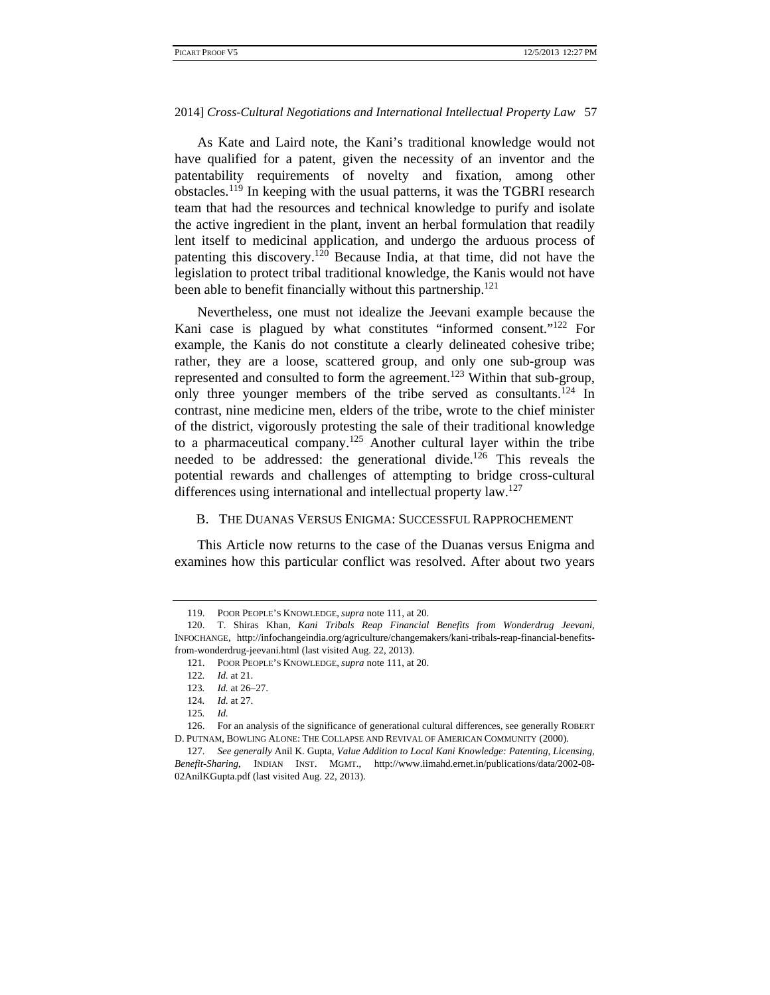As Kate and Laird note, the Kani's traditional knowledge would not have qualified for a patent, given the necessity of an inventor and the patentability requirements of novelty and fixation, among other obstacles.119 In keeping with the usual patterns, it was the TGBRI research team that had the resources and technical knowledge to purify and isolate the active ingredient in the plant, invent an herbal formulation that readily lent itself to medicinal application, and undergo the arduous process of patenting this discovery.<sup>120</sup> Because India, at that time, did not have the legislation to protect tribal traditional knowledge, the Kanis would not have been able to benefit financially without this partnership.<sup>121</sup>

Nevertheless, one must not idealize the Jeevani example because the Kani case is plagued by what constitutes "informed consent."<sup>122</sup> For example, the Kanis do not constitute a clearly delineated cohesive tribe; rather, they are a loose, scattered group, and only one sub-group was represented and consulted to form the agreement.123 Within that sub-group, only three younger members of the tribe served as consultants.<sup>124</sup> In contrast, nine medicine men, elders of the tribe, wrote to the chief minister of the district, vigorously protesting the sale of their traditional knowledge to a pharmaceutical company.<sup>125</sup> Another cultural layer within the tribe needed to be addressed: the generational divide.<sup>126</sup> This reveals the potential rewards and challenges of attempting to bridge cross-cultural differences using international and intellectual property law.<sup>127</sup>

# B. THE DUANAS VERSUS ENIGMA: SUCCESSFUL RAPPROCHEMENT

This Article now returns to the case of the Duanas versus Enigma and examines how this particular conflict was resolved. After about two years

 <sup>119.</sup> POOR PEOPLE'S KNOWLEDGE, *supra* note 111, at 20.

 <sup>120.</sup> T. Shiras Khan, *Kani Tribals Reap Financial Benefits from Wonderdrug Jeevani*, INFOCHANGE, http://infochangeindia.org/agriculture/changemakers/kani-tribals-reap-financial-benefitsfrom-wonderdrug-jeevani.html (last visited Aug. 22, 2013).

 <sup>121.</sup> POOR PEOPLE'S KNOWLEDGE, *supra* note 111, at 20.

<sup>122</sup>*. Id.* at 21.

<sup>123</sup>*. Id.* at 26–27.

<sup>124</sup>*. Id.* at 27.

<sup>125</sup>*. Id.* 

 <sup>126.</sup> For an analysis of the significance of generational cultural differences*,* see generally ROBERT D. PUTNAM, BOWLING ALONE: THE COLLAPSE AND REVIVAL OF AMERICAN COMMUNITY (2000).

 <sup>127.</sup> *See generally* Anil K. Gupta, *Value Addition to Local Kani Knowledge: Patenting, Licensing, Benefit-Sharing*, INDIAN INST. MGMT., http://www.iimahd.ernet.in/publications/data/2002-08- 02AnilKGupta.pdf (last visited Aug. 22, 2013).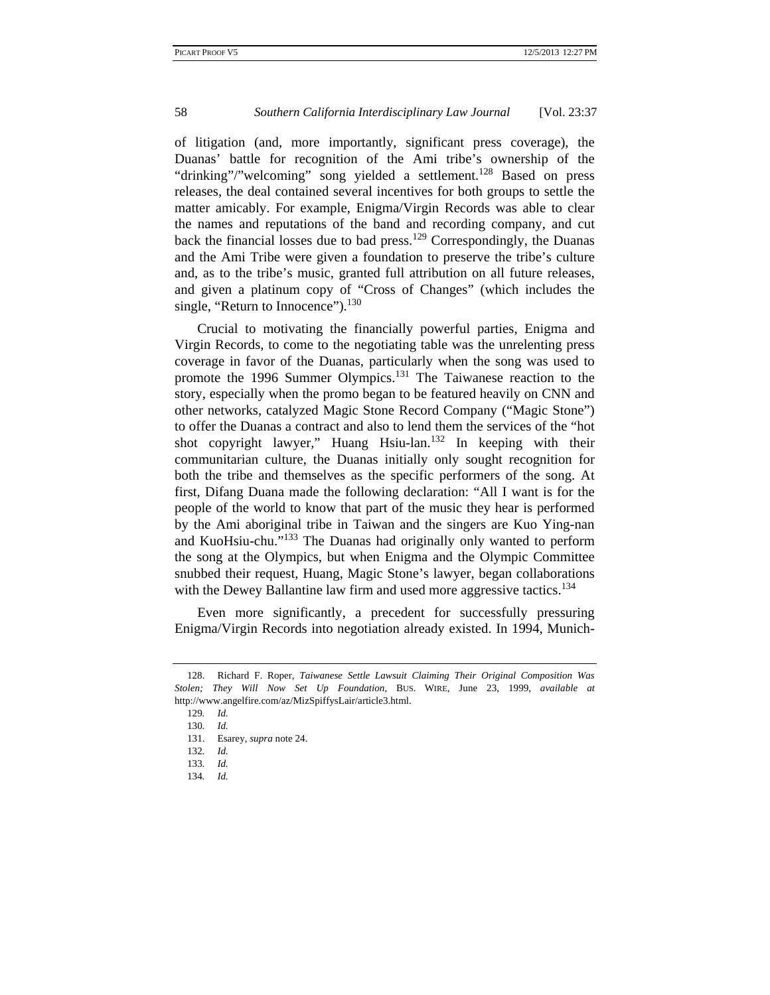of litigation (and, more importantly, significant press coverage), the Duanas' battle for recognition of the Ami tribe's ownership of the "drinking"/"welcoming" song yielded a settlement.<sup>128</sup> Based on press releases, the deal contained several incentives for both groups to settle the matter amicably. For example, Enigma/Virgin Records was able to clear the names and reputations of the band and recording company, and cut back the financial losses due to bad press.<sup>129</sup> Correspondingly, the Duanas and the Ami Tribe were given a foundation to preserve the tribe's culture and, as to the tribe's music, granted full attribution on all future releases, and given a platinum copy of "Cross of Changes" (which includes the single, "Return to Innocence"). $130$ 

Crucial to motivating the financially powerful parties, Enigma and Virgin Records, to come to the negotiating table was the unrelenting press coverage in favor of the Duanas, particularly when the song was used to promote the 1996 Summer Olympics.<sup>131</sup> The Taiwanese reaction to the story, especially when the promo began to be featured heavily on CNN and other networks, catalyzed Magic Stone Record Company ("Magic Stone") to offer the Duanas a contract and also to lend them the services of the "hot shot copyright lawyer," Huang Hsiu-lan.<sup>132</sup> In keeping with their communitarian culture, the Duanas initially only sought recognition for both the tribe and themselves as the specific performers of the song. At first, Difang Duana made the following declaration: "All I want is for the people of the world to know that part of the music they hear is performed by the Ami aboriginal tribe in Taiwan and the singers are Kuo Ying-nan and KuoHsiu-chu."<sup>133</sup> The Duanas had originally only wanted to perform the song at the Olympics, but when Enigma and the Olympic Committee snubbed their request, Huang, Magic Stone's lawyer, began collaborations with the Dewey Ballantine law firm and used more aggressive tactics.<sup>134</sup>

Even more significantly, a precedent for successfully pressuring Enigma/Virgin Records into negotiation already existed. In 1994, Munich-

 <sup>128.</sup> Richard F. Roper, *Taiwanese Settle Lawsuit Claiming Their Original Composition Was Stolen; They Will Now Set Up Foundation*, BUS. WIRE, June 23, 1999, *available at* http://www.angelfire.com/az/MizSpiffysLair/article3.html.

<sup>129</sup>*. Id.*

<sup>130</sup>*. Id.*

 <sup>131.</sup> Esarey, *supra* note 24.

<sup>132</sup>*. Id.*

<sup>133</sup>*. Id.* 134*. Id.*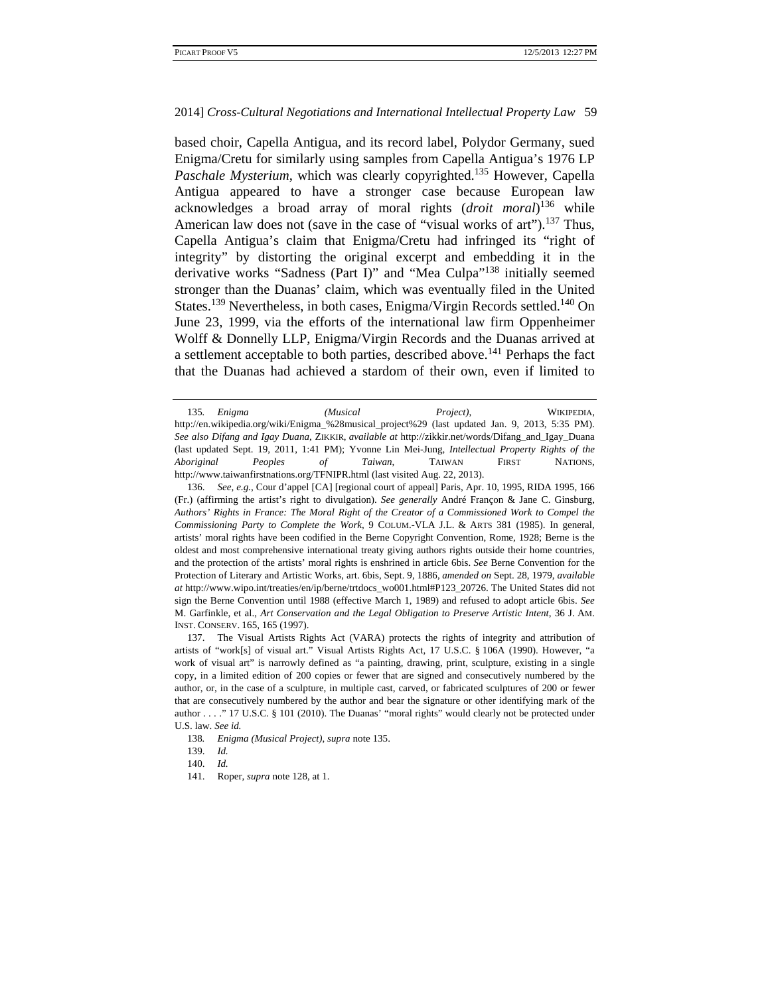based choir, Capella Antigua, and its record label, Polydor Germany, sued Enigma/Cretu for similarly using samples from Capella Antigua's 1976 LP *Paschale Mysterium*, which was clearly copyrighted.<sup>135</sup> However, Capella Antigua appeared to have a stronger case because European law acknowledges a broad array of moral rights (*droit moral*) 136 while American law does not (save in the case of "visual works of art").<sup>137</sup> Thus, Capella Antigua's claim that Enigma/Cretu had infringed its "right of integrity" by distorting the original excerpt and embedding it in the derivative works "Sadness (Part I)" and "Mea Culpa"<sup>138</sup> initially seemed stronger than the Duanas' claim, which was eventually filed in the United States.<sup>139</sup> Nevertheless, in both cases, Enigma/Virgin Records settled.<sup>140</sup> On June 23, 1999, via the efforts of the international law firm Oppenheimer Wolff & Donnelly LLP, Enigma/Virgin Records and the Duanas arrived at a settlement acceptable to both parties, described above.<sup>141</sup> Perhaps the fact that the Duanas had achieved a stardom of their own, even if limited to

<sup>135</sup>*. Enigma (Musical Project)*, WIKIPEDIA, http://en.wikipedia.org/wiki/Enigma\_%28musical\_project%29 (last updated Jan. 9, 2013, 5:35 PM). *See also Difang and Igay Duana*, ZIKKIR, *available at* http://zikkir.net/words/Difang\_and\_Igay\_Duana (last updated Sept. 19, 2011, 1:41 PM); Yvonne Lin Mei-Jung, *Intellectual Property Rights of the Aboriginal Peoples of Taiwan*, TAIWAN FIRST NATIONS, http://www.taiwanfirstnations.org/TFNIPR.html (last visited Aug. 22, 2013).

 <sup>136.</sup> *See*, *e.g.*, Cour d'appel [CA] [regional court of appeal] Paris, Apr. 10, 1995, RIDA 1995, 166 (Fr.) (affirming the artist's right to divulgation). *See generally* André Françon & Jane C. Ginsburg, *Authors' Rights in France: The Moral Right of the Creator of a Commissioned Work to Compel the Commissioning Party to Complete the Work*, 9 COLUM.-VLA J.L. & ARTS 381 (1985). In general, artists' moral rights have been codified in the Berne Copyright Convention, Rome, 1928; Berne is the oldest and most comprehensive international treaty giving authors rights outside their home countries, and the protection of the artists' moral rights is enshrined in article 6bis. *See* Berne Convention for the Protection of Literary and Artistic Works, art. 6bis, Sept. 9, 1886, *amended on* Sept. 28, 1979, *available at* http://www.wipo.int/treaties/en/ip/berne/trtdocs\_wo001.html#P123\_20726. The United States did not sign the Berne Convention until 1988 (effective March 1, 1989) and refused to adopt article 6bis. *See* M. Garfinkle, et al., *Art Conservation and the Legal Obligation to Preserve Artistic Intent*, 36 J. AM. INST. CONSERV. 165, 165 (1997).

 <sup>137.</sup> The Visual Artists Rights Act (VARA) protects the rights of integrity and attribution of artists of "work[s] of visual art." Visual Artists Rights Act, 17 U.S.C. § 106A (1990). However, "a work of visual art" is narrowly defined as "a painting, drawing, print, sculpture, existing in a single copy, in a limited edition of 200 copies or fewer that are signed and consecutively numbered by the author, or, in the case of a sculpture, in multiple cast, carved, or fabricated sculptures of 200 or fewer that are consecutively numbered by the author and bear the signature or other identifying mark of the author . . . ." 17 U.S.C. § 101 (2010). The Duanas' "moral rights" would clearly not be protected under U.S. law. *See id.*

<sup>138</sup>*. Enigma (Musical Project)*, *supra* note 135.

 <sup>139.</sup> *Id.*

 <sup>140.</sup> *Id.*

 <sup>141.</sup> Roper, *supra* note 128, at 1.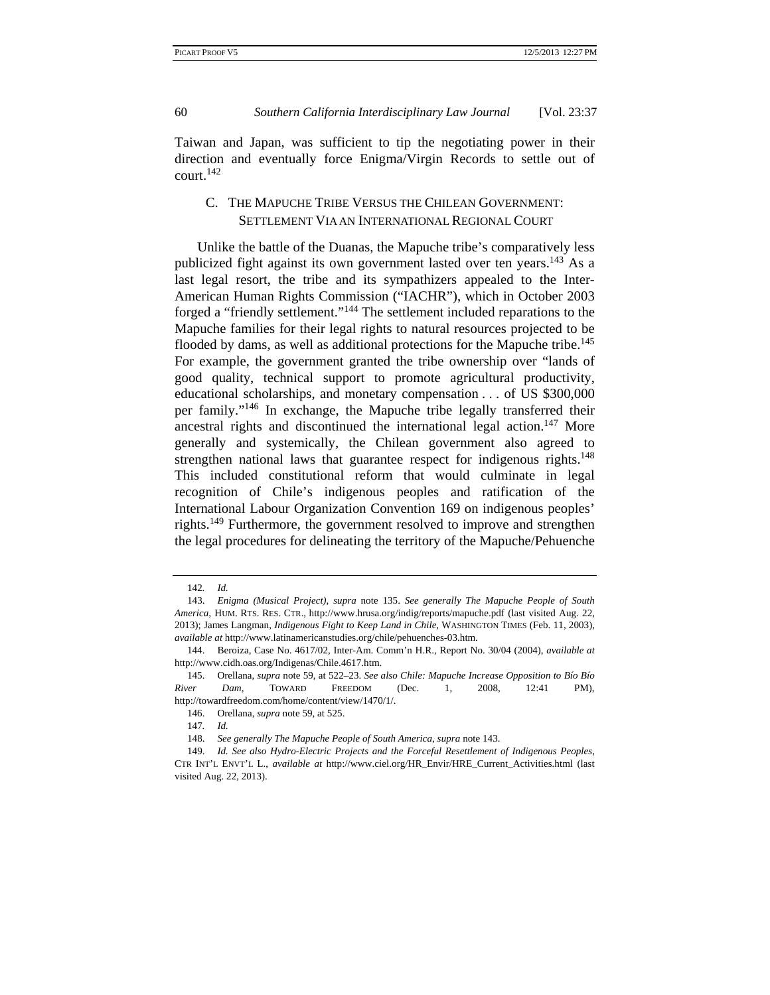Taiwan and Japan, was sufficient to tip the negotiating power in their direction and eventually force Enigma/Virgin Records to settle out of court.<sup>142</sup>

# C. THE MAPUCHE TRIBE VERSUS THE CHILEAN GOVERNMENT: SETTLEMENT VIA AN INTERNATIONAL REGIONAL COURT

Unlike the battle of the Duanas, the Mapuche tribe's comparatively less publicized fight against its own government lasted over ten years.<sup>143</sup> As a last legal resort, the tribe and its sympathizers appealed to the Inter-American Human Rights Commission ("IACHR"), which in October 2003 forged a "friendly settlement."144 The settlement included reparations to the Mapuche families for their legal rights to natural resources projected to be flooded by dams, as well as additional protections for the Mapuche tribe.<sup>145</sup> For example, the government granted the tribe ownership over "lands of good quality, technical support to promote agricultural productivity, educational scholarships, and monetary compensation . . . of US \$300,000 per family."146 In exchange, the Mapuche tribe legally transferred their ancestral rights and discontinued the international legal action.<sup>147</sup> More generally and systemically, the Chilean government also agreed to strengthen national laws that guarantee respect for indigenous rights.<sup>148</sup> This included constitutional reform that would culminate in legal recognition of Chile's indigenous peoples and ratification of the International Labour Organization Convention 169 on indigenous peoples' rights.<sup>149</sup> Furthermore, the government resolved to improve and strengthen the legal procedures for delineating the territory of the Mapuche/Pehuenche

<sup>142</sup>*. Id.*

 <sup>143.</sup> *Enigma (Musical Project)*, *supra* note 135. *See generally The Mapuche People of South America*, HUM. RTS. RES. CTR., http://www.hrusa.org/indig/reports/mapuche.pdf (last visited Aug. 22, 2013); James Langman, *Indigenous Fight to Keep Land in Chile*, WASHINGTON TIMES (Feb. 11, 2003), *available at* http://www.latinamericanstudies.org/chile/pehuenches-03.htm.

 <sup>144.</sup> Beroiza, Case No. 4617/02, Inter-Am. Comm'n H.R., Report No. 30/04 (2004), *available at* http://www.cidh.oas.org/Indigenas/Chile.4617.htm.

 <sup>145.</sup> Orellana, *supra* note 59, at 522–23. *See also Chile: Mapuche Increase Opposition to Bío Bío River Dam*, TOWARD FREEDOM (Dec. 1, 2008, 12:41 PM), http://towardfreedom.com/home/content/view/1470/1/.

 <sup>146.</sup> Orellana, *supra* note 59, at 525.

<sup>147</sup>*. Id.*

 <sup>148.</sup> *See generally The Mapuche People of South America*, *supra* note 143.

 <sup>149.</sup> *Id. See also Hydro-Electric Projects and the Forceful Resettlement of Indigenous Peoples*, CTR INT'L ENVT'L L., *available at* http://www.ciel.org/HR\_Envir/HRE\_Current\_Activities.html (last visited Aug. 22, 2013).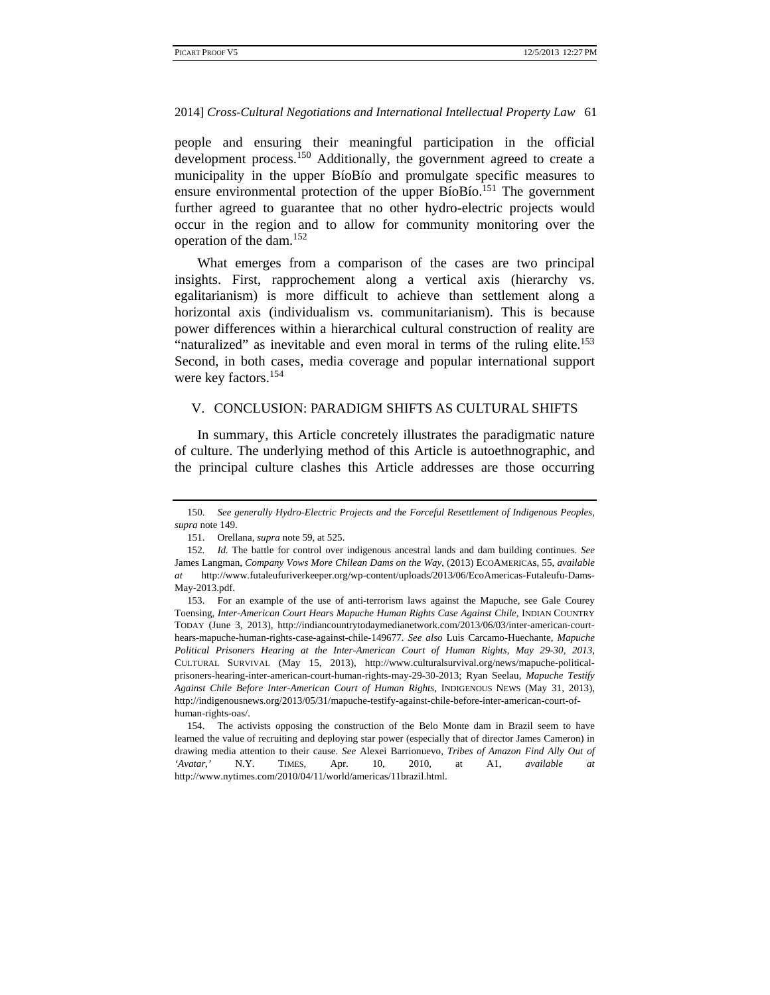people and ensuring their meaningful participation in the official development process.<sup>150</sup> Additionally, the government agreed to create a municipality in the upper BíoBío and promulgate specific measures to ensure environmental protection of the upper BíoBío.<sup>151</sup> The government further agreed to guarantee that no other hydro-electric projects would occur in the region and to allow for community monitoring over the operation of the dam.<sup>152</sup>

What emerges from a comparison of the cases are two principal insights. First, rapprochement along a vertical axis (hierarchy vs. egalitarianism) is more difficult to achieve than settlement along a horizontal axis (individualism vs. communitarianism). This is because power differences within a hierarchical cultural construction of reality are "naturalized" as inevitable and even moral in terms of the ruling elite.<sup>153</sup> Second, in both cases, media coverage and popular international support were key factors.154

# V. CONCLUSION: PARADIGM SHIFTS AS CULTURAL SHIFTS

In summary, this Article concretely illustrates the paradigmatic nature of culture. The underlying method of this Article is autoethnographic, and the principal culture clashes this Article addresses are those occurring

 <sup>150.</sup> *See generally Hydro-Electric Projects and the Forceful Resettlement of Indigenous Peoples, supra* note 149.

 <sup>151.</sup> Orellana, *supra* note 59, at 525.

<sup>152</sup>*. Id.* The battle for control over indigenous ancestral lands and dam building continues. *See* James Langman, *Company Vows More Chilean Dams on the Way*, (2013) ECOAMERICAs, 55, *available at* http://www.futaleufuriverkeeper.org/wp-content/uploads/2013/06/EcoAmericas-Futaleufu-Dams-May-2013.pdf.

 <sup>153.</sup> For an example of the use of anti-terrorism laws against the Mapuche, see Gale Courey Toensing, *Inter-American Court Hears Mapuche Human Rights Case Against Chile*, INDIAN COUNTRY TODAY (June 3, 2013), http://indiancountrytodaymedianetwork.com/2013/06/03/inter-american-courthears-mapuche-human-rights-case-against-chile-149677. *See also* Luis Carcamo-Huechante, *Mapuche Political Prisoners Hearing at the Inter-American Court of Human Rights, May 29-30, 2013*, CULTURAL SURVIVAL (May 15, 2013), http://www.culturalsurvival.org/news/mapuche-politicalprisoners-hearing-inter-american-court-human-rights-may-29-30-2013; Ryan Seelau, *Mapuche Testify Against Chile Before Inter-American Court of Human Rights*, INDIGENOUS NEWS (May 31, 2013), http://indigenousnews.org/2013/05/31/mapuche-testify-against-chile-before-inter-american-court-ofhuman-rights-oas/.

 <sup>154.</sup> The activists opposing the construction of the Belo Monte dam in Brazil seem to have learned the value of recruiting and deploying star power (especially that of director James Cameron) in drawing media attention to their cause. *See* Alexei Barrionuevo, *Tribes of Amazon Find Ally Out of 'Avatar,'* N.Y. TIMES, Apr. 10, 2010, at A1, *available at*  http://www.nytimes.com/2010/04/11/world/americas/11brazil.html.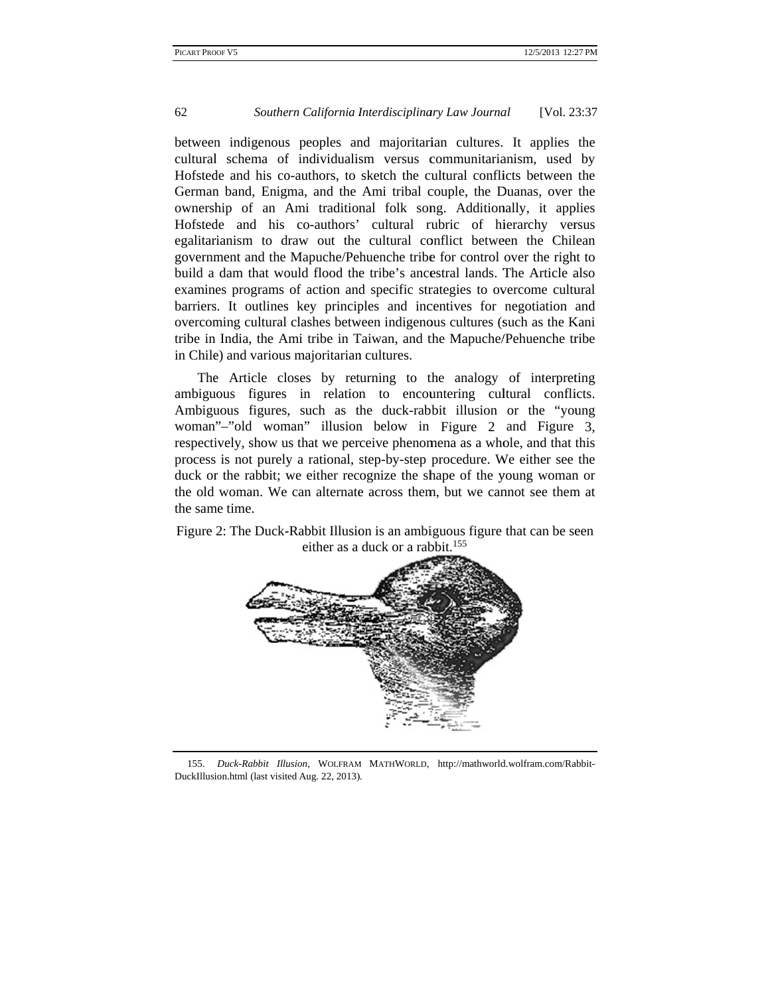between indigenous peoples and majoritarian cultures. It applies the cultural schema of individualism versus communitarianism, used by Hofstede and his co-authors, to sketch the cultural conflicts between the German band, Enigma, and the Ami tribal couple, the Duanas, over the ownership of an Ami traditional folk song. Additionally, it applies Hofstede and his co-authors' cultural rubric of hierarchy versus egalitarianism to draw out the cultural conflict between the Chilean government and the Mapuche/Pehuenche tribe for control over the right to build a dam that would flood the tribe's ancestral lands. The Article also examines programs of action and specific strategies to overcome cultural barriers. It outlines key principles and incentives for negotiation and overcoming cultural clashes between indigenous cultures (such as the Kani tribe in India, the Ami tribe in Taiwan, and the Mapuche/Pehuenche tribe in Chile) and various majoritarian cultures.

The Article closes by returning to the analogy of interpreting ambiguous figures in relation to encountering cultural conflicts. Ambiguous figures, such as the duck-rabbit illusion or the "young woman"-"old woman" illusion below in Figure 2 and Figure 3, respectively, show us that we perceive phenomena as a whole, and that this process is not purely a rational, step-by-step procedure. We either see the duck or the rabbit; we either recognize the shape of the young woman or the old woman. We can alternate across them, but we cannot see them at the same time.



Figure 2: The Duck-Rabbit Illusion is an ambiguous figure that can be seen either as a duck or a rabbit.<sup>155</sup>

155. Duck-Rabbit Illusion, WOLFRAM MATHWORLD, http://mathworld.wolfram.com/Rabbit-DuckIllusion.html (last visited Aug. 22, 2013).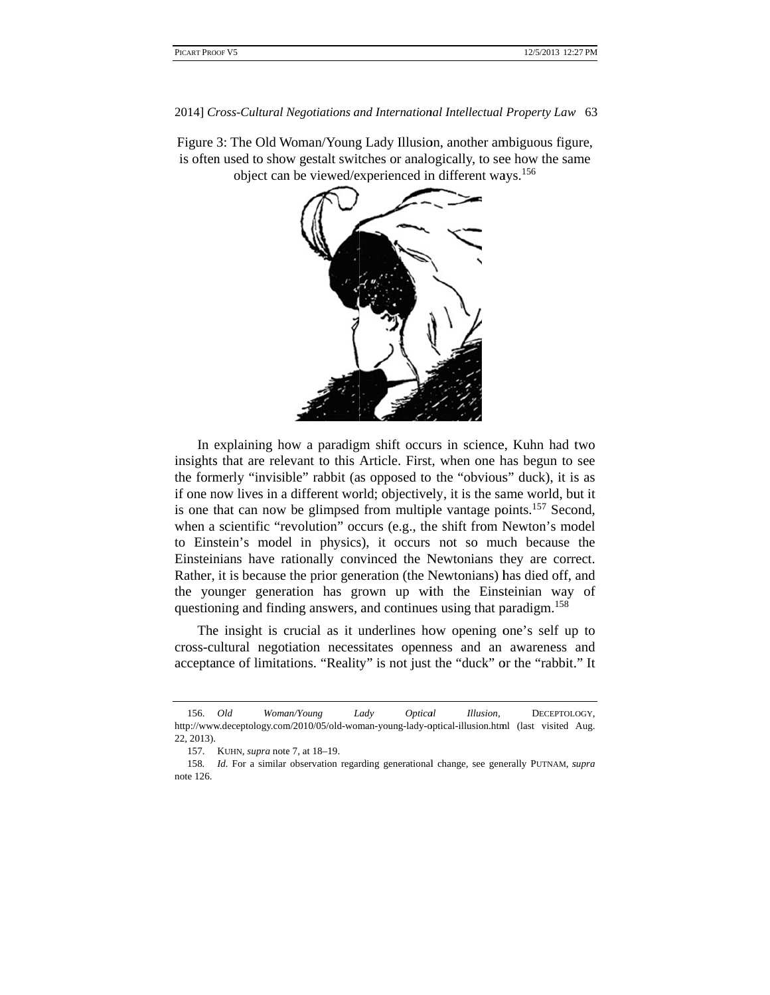Figure 3: The Old Woman/Young Lady Illusion, another ambiguous figure, is often used to show gestalt switches or analogically, to see how the same object can be viewed/experienced in different ways.<sup>156</sup>



In explaining how a paradigm shift occurs in science, Kuhn had two insights that are relevant to this Article. First, when one has begun to see the formerly "invisible" rabbit (as opposed to the "obvious" duck), it is as if one now lives in a different world; objectively, it is the same world, but it is one that can now be glimpsed from multiple vantage points.<sup>157</sup> Second, when a scientific "revolution" occurs (e.g., the shift from Newton's model to Einstein's model in physics), it occurs not so much because the Einsteinians have rationally convinced the Newtonians they are correct. Rather, it is because the prior generation (the Newtonians) has died off, and the younger generation has grown up with the Einsteinian way of questioning and finding answers, and continues using that paradigm.<sup>158</sup>

The insight is crucial as it underlines how opening one's self up to cross-cultural negotiation necessitates openness and an awareness and acceptance of limitations. "Reality" is not just the "duck" or the "rabbit." It

 <sup>156.</sup>  http://www.deceptology.com/2010/05/old-woman-young-lady-optical-illusion.html (last visited Aug. 22, 2013). *Old* Woman/Young L Lady Optical *al Illusion*, DECEPTOL OGY,

<sup>157.</sup> KUHN, *supra* note 7, at 18–19.

<sup>158</sup>*.*  note 126. *Id.* For a similar observation regarding generational change, see generally PUTNAM, *supra*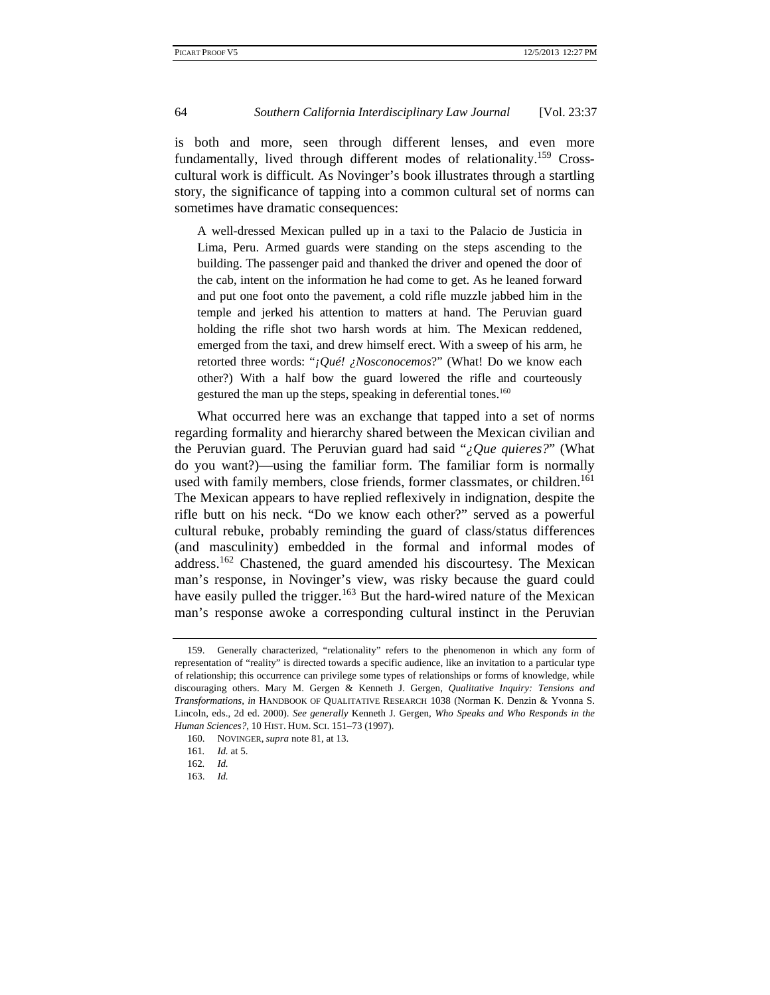is both and more, seen through different lenses, and even more fundamentally, lived through different modes of relationality.<sup>159</sup> Crosscultural work is difficult. As Novinger's book illustrates through a startling story, the significance of tapping into a common cultural set of norms can sometimes have dramatic consequences:

A well-dressed Mexican pulled up in a taxi to the Palacio de Justicia in Lima, Peru. Armed guards were standing on the steps ascending to the building. The passenger paid and thanked the driver and opened the door of the cab, intent on the information he had come to get. As he leaned forward and put one foot onto the pavement, a cold rifle muzzle jabbed him in the temple and jerked his attention to matters at hand. The Peruvian guard holding the rifle shot two harsh words at him. The Mexican reddened, emerged from the taxi, and drew himself erect. With a sweep of his arm, he retorted three words: "*¡Qué! ¿Nosconocemos*?" (What! Do we know each other?) With a half bow the guard lowered the rifle and courteously gestured the man up the steps, speaking in deferential tones.<sup>160</sup>

What occurred here was an exchange that tapped into a set of norms regarding formality and hierarchy shared between the Mexican civilian and the Peruvian guard. The Peruvian guard had said "*¿Que quieres?*" (What do you want?)—using the familiar form. The familiar form is normally used with family members, close friends, former classmates, or children.<sup>161</sup> The Mexican appears to have replied reflexively in indignation, despite the rifle butt on his neck. "Do we know each other?" served as a powerful cultural rebuke, probably reminding the guard of class/status differences (and masculinity) embedded in the formal and informal modes of address.<sup>162</sup> Chastened, the guard amended his discourtesy. The Mexican man's response, in Novinger's view, was risky because the guard could have easily pulled the trigger.<sup>163</sup> But the hard-wired nature of the Mexican man's response awoke a corresponding cultural instinct in the Peruvian

 <sup>159.</sup> Generally characterized, "relationality" refers to the phenomenon in which any form of representation of "reality" is directed towards a specific audience, like an invitation to a particular type of relationship; this occurrence can privilege some types of relationships or forms of knowledge, while discouraging others. Mary M. Gergen & Kenneth J. Gergen, *Qualitative Inquiry: Tensions and Transformations, in* HANDBOOK OF QUALITATIVE RESEARCH 1038 (Norman K. Denzin & Yvonna S. Lincoln, eds., 2d ed. 2000). *See generally* Kenneth J. Gergen, *Who Speaks and Who Responds in the Human Sciences?*, 10 HIST. HUM. SCI. 151–73 (1997).

 <sup>160.</sup> NOVINGER, *supra* note 81, at 13.

<sup>161</sup>*. Id.* at 5.

<sup>162</sup>*. Id.*

 <sup>163.</sup> *Id.*